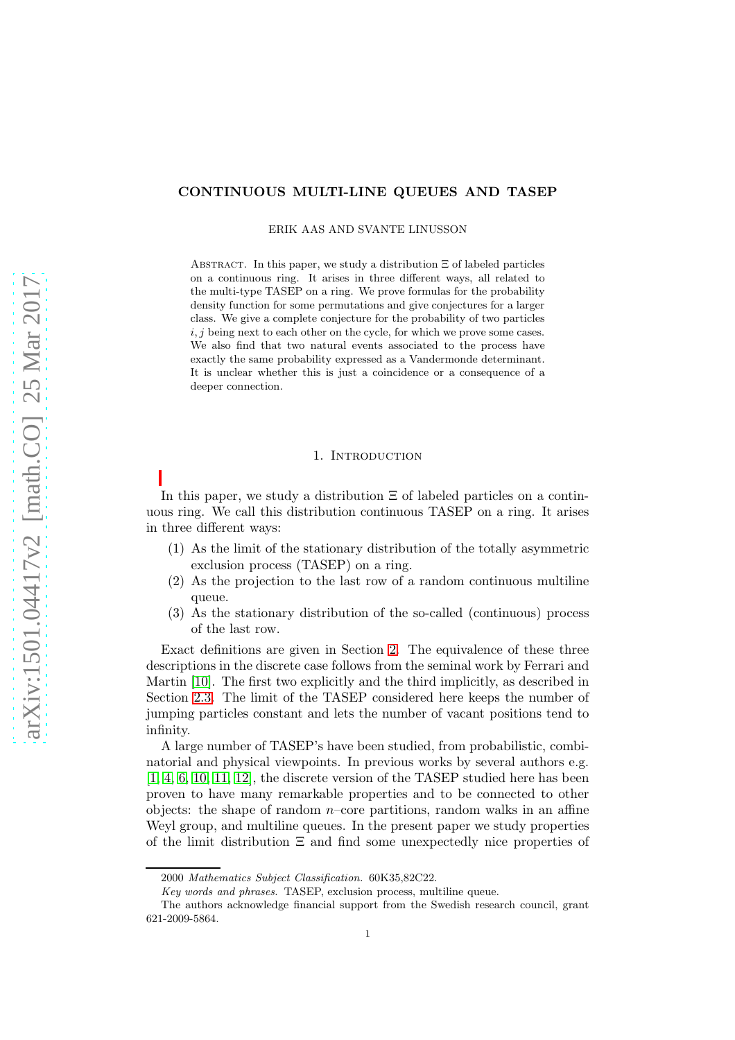# CONTINUOUS MULTI-LINE QUEUES AND TASEP

ERIK AAS AND SVANTE LINUSSON

ABSTRACT. In this paper, we study a distribution  $\Xi$  of labeled particles on a continuous ring. It arises in three different ways, all related to the multi-type TASEP on a ring. We prove formulas for the probability density function for some permutations and give conjectures for a larger class. We give a complete conjecture for the probability of two particles  $i, j$  being next to each other on the cycle, for which we prove some cases. We also find that two natural events associated to the process have exactly the same probability expressed as a Vandermonde determinant. It is unclear whether this is just a coincidence or a consequence of a deeper connection.

## 1. INTRODUCTION

In this paper, we study a distribution  $\Xi$  of labeled particles on a continuous ring. We call this distribution continuous TASEP on a ring. It arises in three different ways:

- (1) As the limit of the stationary distribution of the totally asymmetric exclusion process (TASEP) on a ring.
- (2) As the projection to the last row of a random continuous multiline queue.
- (3) As the stationary distribution of the so-called (continuous) process of the last row.

Exact definitions are given in Section [2.](#page-1-0) The equivalence of these three descriptions in the discrete case follows from the seminal work by Ferrari and Martin [\[10\]](#page-20-0). The first two explicitly and the third implicitly, as described in Section [2.3.](#page-3-0) The limit of the TASEP considered here keeps the number of jumping particles constant and lets the number of vacant positions tend to infinity.

A large number of TASEP's have been studied, from probabilistic, combinatorial and physical viewpoints. In previous works by several authors e.g. [\[1,](#page-19-0) [4,](#page-19-1) [6,](#page-19-2) [10,](#page-20-0) [11,](#page-20-1) [12\]](#page-20-2), the discrete version of the TASEP studied here has been proven to have many remarkable properties and to be connected to other objects: the shape of random  $n$ –core partitions, random walks in an affine Weyl group, and multiline queues. In the present paper we study properties of the limit distribution  $\Xi$  and find some unexpectedly nice properties of

<sup>2000</sup> Mathematics Subject Classification. 60K35,82C22.

Key words and phrases. TASEP, exclusion process, multiline queue.

The authors acknowledge financial support from the Swedish research council, grant 621-2009-5864.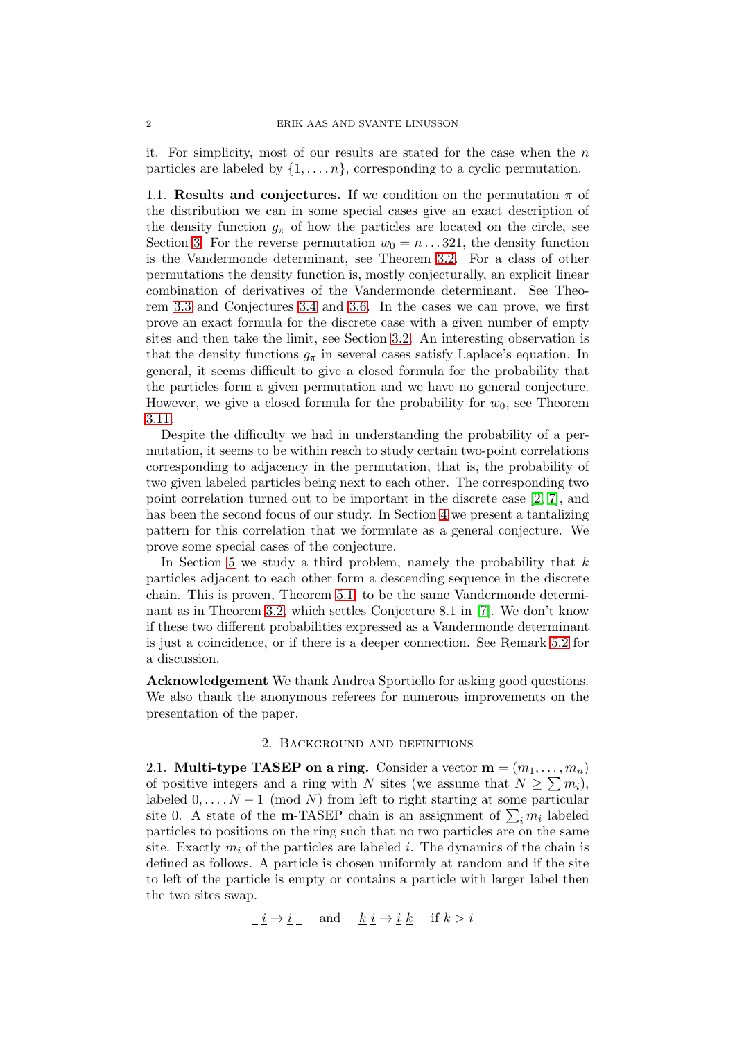it. For simplicity, most of our results are stated for the case when the  $n$ particles are labeled by  $\{1, \ldots, n\}$ , corresponding to a cyclic permutation.

1.1. Results and conjectures. If we condition on the permutation  $\pi$  of the distribution we can in some special cases give an exact description of the density function  $g_{\pi}$  of how the particles are located on the circle, see Section [3.](#page-4-0) For the reverse permutation  $w_0 = n \dots 321$ , the density function is the Vandermonde determinant, see Theorem [3.2.](#page-5-0) For a class of other permutations the density function is, mostly conjecturally, an explicit linear combination of derivatives of the Vandermonde determinant. See Theorem [3.3](#page-5-1) and Conjectures [3.4](#page-6-0) and [3.6.](#page-7-0) In the cases we can prove, we first prove an exact formula for the discrete case with a given number of empty sites and then take the limit, see Section [3.2.](#page-7-1) An interesting observation is that the density functions  $g_{\pi}$  in several cases satisfy Laplace's equation. In general, it seems difficult to give a closed formula for the probability that the particles form a given permutation and we have no general conjecture. However, we give a closed formula for the probability for  $w_0$ , see Theorem [3.11.](#page-12-0)

Despite the difficulty we had in understanding the probability of a permutation, it seems to be within reach to study certain two-point correlations corresponding to adjacency in the permutation, that is, the probability of two given labeled particles being next to each other. The corresponding two point correlation turned out to be important in the discrete case [\[2,](#page-19-3) [7\]](#page-19-4), and has been the second focus of our study. In Section [4](#page-13-0) we present a tantalizing pattern for this correlation that we formulate as a general conjecture. We prove some special cases of the conjecture.

In Section [5](#page-16-0) we study a third problem, namely the probability that  $k$ particles adjacent to each other form a descending sequence in the discrete chain. This is proven, Theorem [5.1,](#page-16-1) to be the same Vandermonde determinant as in Theorem [3.2,](#page-5-0) which settles Conjecture 8.1 in [\[7\]](#page-19-4). We don't know if these two different probabilities expressed as a Vandermonde determinant is just a coincidence, or if there is a deeper connection. See Remark [5.2](#page-16-2) for a discussion.

Acknowledgement We thank Andrea Sportiello for asking good questions. We also thank the anonymous referees for numerous improvements on the presentation of the paper.

## 2. Background and definitions

<span id="page-1-0"></span>2.1. Multi-type TASEP on a ring. Consider a vector  $\mathbf{m} = (m_1, \ldots, m_n)$ of positive integers and a ring with N sites (we assume that  $N \geq \sum m_i$ ), labeled  $0, \ldots, N-1 \pmod{N}$  from left to right starting at some particular site 0. A state of the **m**-TASEP chain is an assignment of  $\sum_i m_i$  labeled particles to positions on the ring such that no two particles are on the same site. Exactly  $m_i$  of the particles are labeled i. The dynamics of the chain is defined as follows. A particle is chosen uniformly at random and if the site to left of the particle is empty or contains a particle with larger label then the two sites swap.

$$
\underline{i} \rightarrow \underline{i} \quad \text{and} \quad \underline{k} \underline{i} \rightarrow \underline{i} \underline{k} \quad \text{if } k > i
$$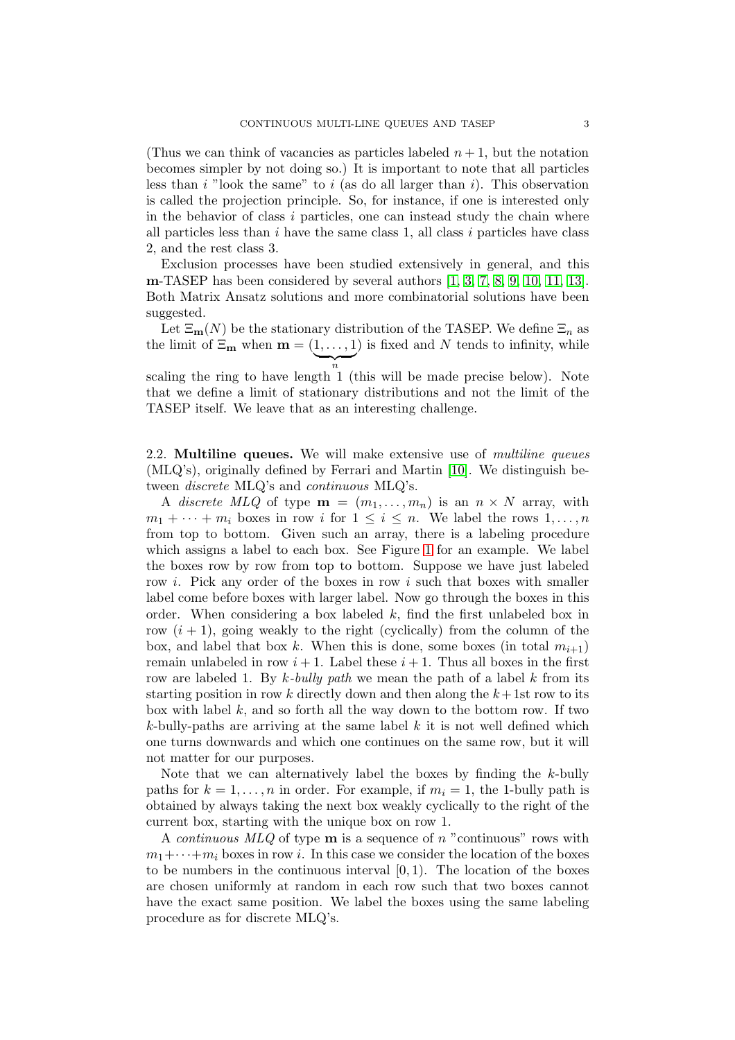(Thus we can think of vacancies as particles labeled  $n + 1$ , but the notation becomes simpler by not doing so.) It is important to note that all particles less than  $i$  "look the same" to  $i$  (as do all larger than  $i$ ). This observation is called the projection principle. So, for instance, if one is interested only in the behavior of class  $i$  particles, one can instead study the chain where all particles less than  $i$  have the same class 1, all class  $i$  particles have class 2, and the rest class 3.

Exclusion processes have been studied extensively in general, and this m-TASEP has been considered by several authors [\[1,](#page-19-0) [3,](#page-19-5) [7,](#page-19-4) [8,](#page-20-3) [9,](#page-20-4) [10,](#page-20-0) [11,](#page-20-1) [13\]](#page-20-5). Both Matrix Ansatz solutions and more combinatorial solutions have been suggested.

Let  $\Xi_{\mathbf{m}}(N)$  be the stationary distribution of the TASEP. We define  $\Xi_n$  as the limit of  $\Xi_{\mathbf{m}}$  when  $\mathbf{m} = (1, \ldots, 1)$  is fixed and N tends to infinity, while  $\overline{a}$ n

scaling the ring to have length 1 (this will be made precise below). Note that we define a limit of stationary distributions and not the limit of the TASEP itself. We leave that as an interesting challenge.

2.2. Multiline queues. We will make extensive use of *multiline queues* (MLQ's), originally defined by Ferrari and Martin [\[10\]](#page-20-0). We distinguish between discrete MLQ's and continuous MLQ's.

A discrete MLQ of type  $\mathbf{m} = (m_1, \ldots, m_n)$  is an  $n \times N$  array, with  $m_1 + \cdots + m_i$  boxes in row i for  $1 \leq i \leq n$ . We label the rows  $1, \ldots, n$ from top to bottom. Given such an array, there is a labeling procedure which assigns a label to each box. See Figure [1](#page-3-1) for an example. We label the boxes row by row from top to bottom. Suppose we have just labeled row i. Pick any order of the boxes in row i such that boxes with smaller label come before boxes with larger label. Now go through the boxes in this order. When considering a box labeled  $k$ , find the first unlabeled box in row  $(i + 1)$ , going weakly to the right (cyclically) from the column of the box, and label that box k. When this is done, some boxes (in total  $m_{i+1}$ ) remain unlabeled in row  $i + 1$ . Label these  $i + 1$ . Thus all boxes in the first row are labeled 1. By k-bully path we mean the path of a label k from its starting position in row  $k$  directly down and then along the  $k+1$ st row to its box with label  $k$ , and so forth all the way down to the bottom row. If two k-bully-paths are arriving at the same label  $k$  it is not well defined which one turns downwards and which one continues on the same row, but it will not matter for our purposes.

Note that we can alternatively label the boxes by finding the k-bully paths for  $k = 1, \ldots, n$  in order. For example, if  $m_i = 1$ , the 1-bully path is obtained by always taking the next box weakly cyclically to the right of the current box, starting with the unique box on row 1.

A *continuous*  $MLQ$  of type **m** is a sequence of n "continuous" rows with  $m_1 + \cdots + m_i$  boxes in row *i*. In this case we consider the location of the boxes to be numbers in the continuous interval  $[0, 1)$ . The location of the boxes are chosen uniformly at random in each row such that two boxes cannot have the exact same position. We label the boxes using the same labeling procedure as for discrete MLQ's.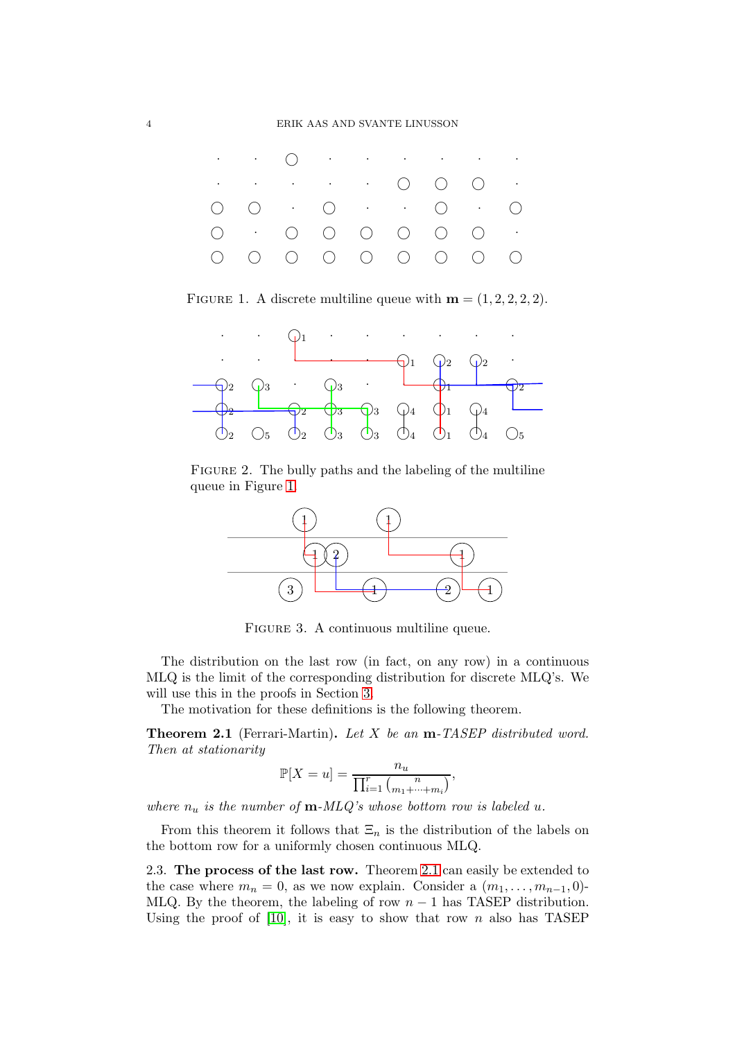

<span id="page-3-1"></span>FIGURE 1. A discrete multiline queue with  $\mathbf{m} = (1, 2, 2, 2, 2)$ .



FIGURE 2. The bully paths and the labeling of the multiline queue in Figure [1.](#page-3-1)



Figure 3. A continuous multiline queue.

The distribution on the last row (in fact, on any row) in a continuous MLQ is the limit of the corresponding distribution for discrete MLQ's. We will use this in the proofs in Section [3.](#page-4-0)

The motivation for these definitions is the following theorem.

<span id="page-3-2"></span>**Theorem 2.1** (Ferrari-Martin). Let X be an **m**-TASEP distributed word. Then at stationarity

$$
\mathbb{P}[X=u] = \frac{n_u}{\prod_{i=1}^r \binom{n}{m_1+\cdots+m_i}},
$$

where  $n_u$  is the number of  $m\text{-}MLQ$ 's whose bottom row is labeled u.

From this theorem it follows that  $\Xi_n$  is the distribution of the labels on the bottom row for a uniformly chosen continuous MLQ.

<span id="page-3-0"></span>2.3. The process of the last row. Theorem [2.1](#page-3-2) can easily be extended to the case where  $m_n = 0$ , as we now explain. Consider a  $(m_1, \ldots, m_{n-1}, 0)$ -MLQ. By the theorem, the labeling of row  $n-1$  has TASEP distribution. Using the proof of [\[10\]](#page-20-0), it is easy to show that row n also has TASEP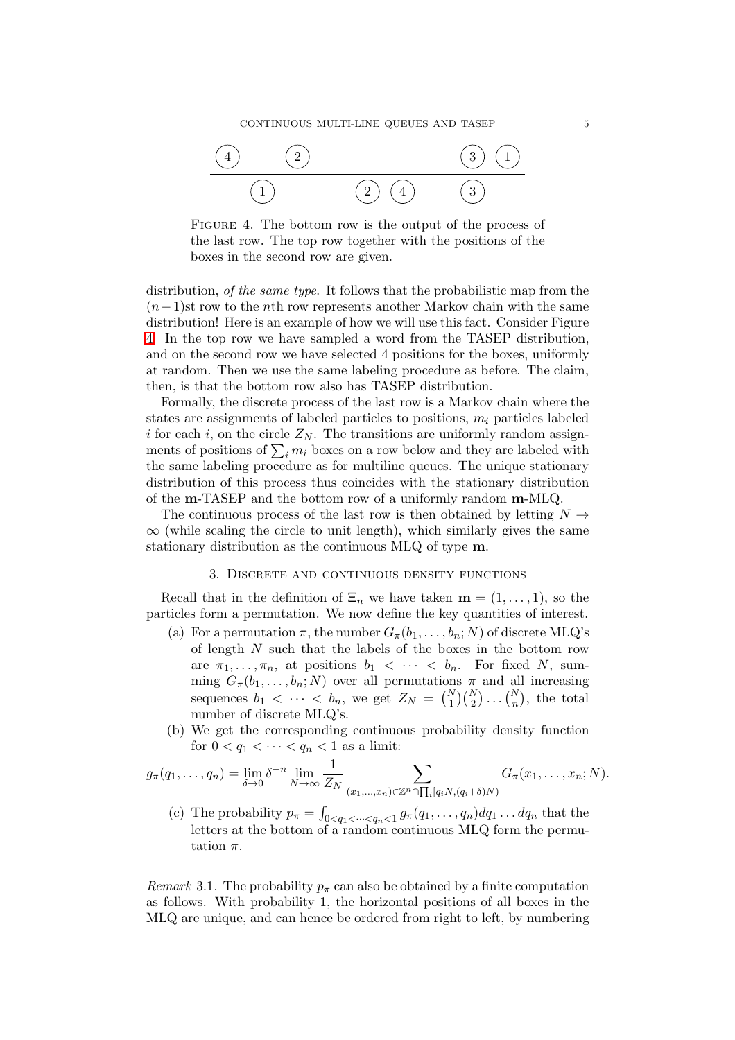

<span id="page-4-1"></span>FIGURE 4. The bottom row is the output of the process of the last row. The top row together with the positions of the boxes in the second row are given.

distribution, of the same type. It follows that the probabilistic map from the  $(n-1)$ st row to the *n*th row represents another Markov chain with the same distribution! Here is an example of how we will use this fact. Consider Figure [4.](#page-4-1) In the top row we have sampled a word from the TASEP distribution, and on the second row we have selected 4 positions for the boxes, uniformly at random. Then we use the same labeling procedure as before. The claim, then, is that the bottom row also has TASEP distribution.

Formally, the discrete process of the last row is a Markov chain where the states are assignments of labeled particles to positions,  $m<sub>i</sub>$  particles labeled i for each i, on the circle  $Z_N$ . The transitions are uniformly random assignments of positions of  $\sum_i m_i$  boxes on a row below and they are labeled with the same labeling procedure as for multiline queues. The unique stationary distribution of this process thus coincides with the stationary distribution of the m-TASEP and the bottom row of a uniformly random m-MLQ.

The continuous process of the last row is then obtained by letting  $N \rightarrow$  $\infty$  (while scaling the circle to unit length), which similarly gives the same stationary distribution as the continuous MLQ of type m.

# 3. Discrete and continuous density functions

<span id="page-4-0"></span>Recall that in the definition of  $\Xi_n$  we have taken  $\mathbf{m} = (1, \ldots, 1)$ , so the particles form a permutation. We now define the key quantities of interest.

- (a) For a permutation  $\pi$ , the number  $G_{\pi}(b_1,\ldots,b_n;N)$  of discrete MLQ's of length  $N$  such that the labels of the boxes in the bottom row are  $\pi_1, \ldots, \pi_n$ , at positions  $b_1 < \cdots < b_n$ . For fixed N, summing  $G_{\pi}(b_1,\ldots,b_n;N)$  over all permutations  $\pi$  and all increasing sequences  $b_1 < \cdots < b_n$ , we get  $Z_N = {N \choose 1} {N \choose 2} \dots {N \choose n}$ , the total number of discrete MLQ's.
- (b) We get the corresponding continuous probability density function for  $0 < q_1 < \cdots < q_n < 1$  as a limit:

$$
g_{\pi}(q_1,\ldots,q_n)=\lim_{\delta\to 0}\delta^{-n}\lim_{N\to\infty}\frac{1}{Z_N}\sum_{(x_1,\ldots,x_n)\in\mathbb{Z}^n\cap\prod_i[q_iN,(q_i+\delta)N)}G_{\pi}(x_1,\ldots,x_n;N).
$$

(c) The probability  $p_{\pi} = \int_{0 \le q_1 \le \dots \le q_n \le 1} g_{\pi}(q_1, \dots, q_n) dq_1 \dots dq_n$  that the letters at the bottom of a random continuous MLQ form the permutation  $\pi$ .

<span id="page-4-2"></span>Remark 3.1. The probability  $p_{\pi}$  can also be obtained by a finite computation as follows. With probability 1, the horizontal positions of all boxes in the MLQ are unique, and can hence be ordered from right to left, by numbering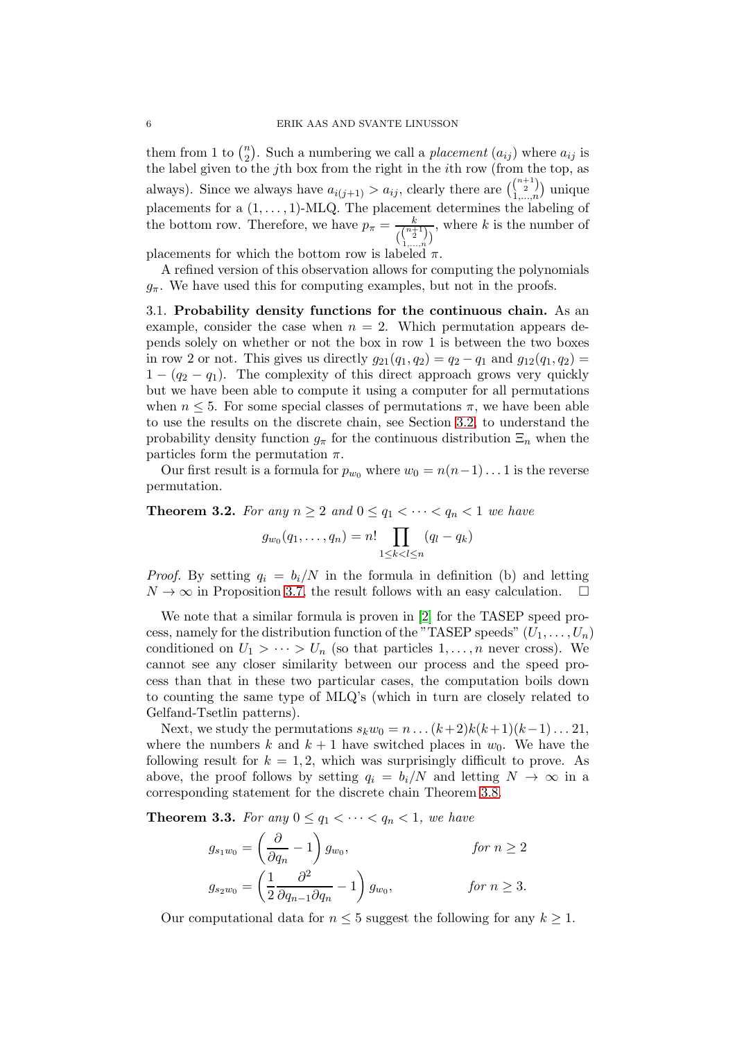them from 1 to  $\binom{n}{2}$  $n_2$ ). Such a numbering we call a *placement*  $(a_{ij})$  where  $a_{ij}$  is the label given to the jth box from the right in the ith row (from the top, as always). Since we always have  $a_{i(j+1)} > a_{ij}$ , clearly there are  $\binom{n+1}{2}$  $\binom{n+1}{2}$  unique placements for a  $(1, \ldots, 1)$ -MLQ. The placement determines the labeling of the bottom row. Therefore, we have  $p_{\pi} = \frac{k}{\sqrt{n+1}}$  $\binom{\binom{n+1}{2}}{1,\ldots,n}$ , where  $k$  is the number of

placements for which the bottom row is labeled  $\pi$ .

A refined version of this observation allows for computing the polynomials  $g_{\pi}$ . We have used this for computing examples, but not in the proofs.

<span id="page-5-2"></span>3.1. Probability density functions for the continuous chain. As an example, consider the case when  $n = 2$ . Which permutation appears depends solely on whether or not the box in row 1 is between the two boxes in row 2 or not. This gives us directly  $g_{21}(q_1, q_2) = q_2 - q_1$  and  $g_{12}(q_1, q_2) =$  $1 - (q_2 - q_1)$ . The complexity of this direct approach grows very quickly but we have been able to compute it using a computer for all permutations when  $n \leq 5$ . For some special classes of permutations  $\pi$ , we have been able to use the results on the discrete chain, see Section [3.2,](#page-7-1) to understand the probability density function  $g_{\pi}$  for the continuous distribution  $\Xi_n$  when the particles form the permutation  $\pi$ .

Our first result is a formula for  $p_{w_0}$  where  $w_0 = n(n-1)... 1$  is the reverse permutation.

<span id="page-5-0"></span>**Theorem 3.2.** For any  $n \geq 2$  and  $0 \leq q_1 < \cdots < q_n < 1$  we have

$$
g_{w_0}(q_1,...,q_n) = n! \prod_{1 \le k < l \le n} (q_l - q_k)
$$

*Proof.* By setting  $q_i = b_i/N$  in the formula in definition (b) and letting  $N \to \infty$  in Proposition [3.7,](#page-7-2) the result follows with an easy calculation.  $\square$ 

We note that a similar formula is proven in [\[2\]](#page-19-3) for the TASEP speed process, namely for the distribution function of the "TASEP speeds"  $(U_1, \ldots, U_n)$ conditioned on  $U_1 > \cdots > U_n$  (so that particles  $1, \ldots, n$  never cross). We cannot see any closer similarity between our process and the speed process than that in these two particular cases, the computation boils down to counting the same type of MLQ's (which in turn are closely related to Gelfand-Tsetlin patterns).

Next, we study the permutations  $s_kw_0 = n \dots (k+2)k(k+1)(k-1)\dots 21$ , where the numbers k and  $k + 1$  have switched places in  $w_0$ . We have the following result for  $k = 1, 2$ , which was surprisingly difficult to prove. As above, the proof follows by setting  $q_i = b_i/N$  and letting  $N \to \infty$  in a corresponding statement for the discrete chain Theorem [3.8.](#page-8-0)

<span id="page-5-1"></span>**Theorem 3.3.** For any  $0 \le q_1 < \cdots < q_n < 1$ , we have

$$
g_{s_1w_0} = \left(\frac{\partial}{\partial q_n} - 1\right) g_{w_0}, \qquad \text{for } n \ge 2
$$
  

$$
g_{s_2w_0} = \left(\frac{1}{2} \frac{\partial^2}{\partial q_{n-1} \partial q_n} - 1\right) g_{w_0}, \qquad \text{for } n \ge 3.
$$

Our computational data for  $n \leq 5$  suggest the following for any  $k \geq 1$ .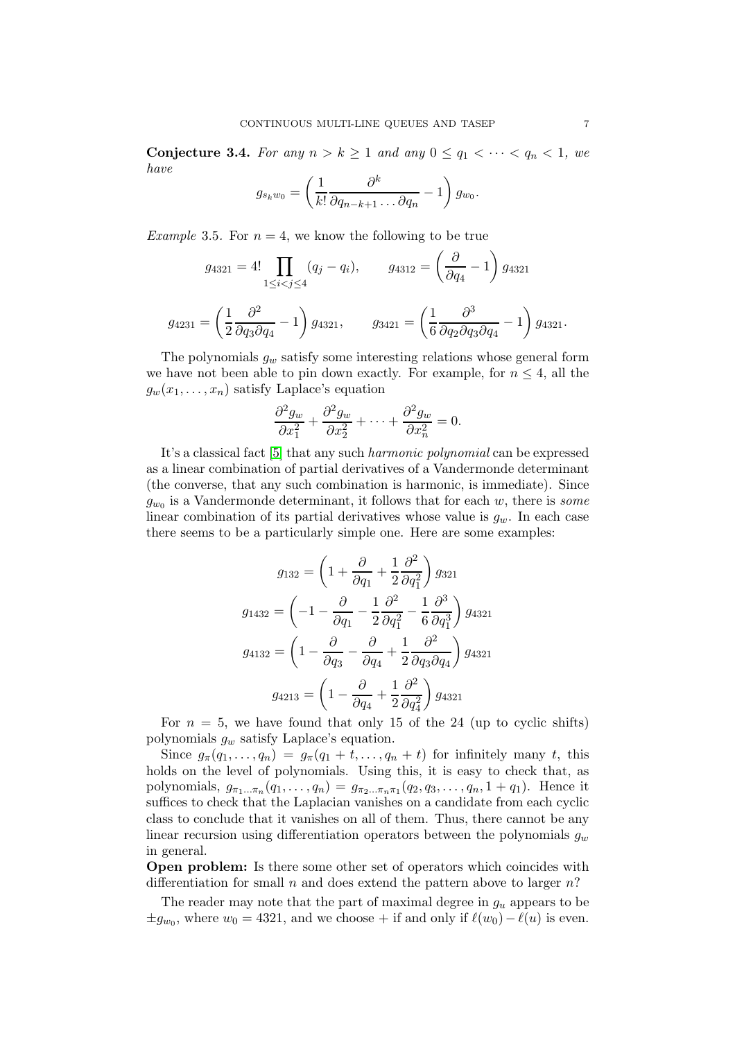<span id="page-6-0"></span>**Conjecture 3.4.** For any  $n > k \ge 1$  and any  $0 \le q_1 < \cdots < q_n < 1$ , we have

$$
g_{s_k w_0} = \left(\frac{1}{k!} \frac{\partial^k}{\partial q_{n-k+1} \dots \partial q_n} - 1\right) g_{w_0}.
$$

Example 3.5. For  $n = 4$ , we know the following to be true

$$
g_{4321} = 4! \prod_{1 \le i < j \le 4} (q_j - q_i), \qquad g_{4312} = \left(\frac{\partial}{\partial q_4} - 1\right) g_{4321}
$$
\n
$$
g_{4231} = \left(\frac{1}{2} \frac{\partial^2}{\partial q_3 \partial q_4} - 1\right) g_{4321}, \qquad g_{3421} = \left(\frac{1}{6} \frac{\partial^3}{\partial q_2 \partial q_3 \partial q_4} - 1\right) g_{4321}.
$$

The polynomials  $g_w$  satisfy some interesting relations whose general form we have not been able to pin down exactly. For example, for  $n \leq 4$ , all the  $g_w(x_1, \ldots, x_n)$  satisfy Laplace's equation

$$
\frac{\partial^2 g_w}{\partial x_1^2} + \frac{\partial^2 g_w}{\partial x_2^2} + \dots + \frac{\partial^2 g_w}{\partial x_n^2} = 0.
$$

It's a classical fact [\[5\]](#page-19-6) that any such harmonic polynomial can be expressed as a linear combination of partial derivatives of a Vandermonde determinant (the converse, that any such combination is harmonic, is immediate). Since  $g_{w_0}$  is a Vandermonde determinant, it follows that for each w, there is *some* linear combination of its partial derivatives whose value is  $g_w$ . In each case there seems to be a particularly simple one. Here are some examples:

$$
g_{132} = \left(1 + \frac{\partial}{\partial q_1} + \frac{1}{2} \frac{\partial^2}{\partial q_1^2}\right) g_{321}
$$

$$
g_{1432} = \left(-1 - \frac{\partial}{\partial q_1} - \frac{1}{2} \frac{\partial^2}{\partial q_1^2} - \frac{1}{6} \frac{\partial^3}{\partial q_1^3}\right) g_{4321}
$$

$$
g_{4132} = \left(1 - \frac{\partial}{\partial q_3} - \frac{\partial}{\partial q_4} + \frac{1}{2} \frac{\partial^2}{\partial q_3 \partial q_4}\right) g_{4321}
$$

$$
g_{4213} = \left(1 - \frac{\partial}{\partial q_4} + \frac{1}{2} \frac{\partial^2}{\partial q_4^2}\right) g_{4321}
$$

For  $n = 5$ , we have found that only 15 of the 24 (up to cyclic shifts) polynomials  $g_w$  satisfy Laplace's equation.

Since  $g_{\pi}(q_1,\ldots,q_n) = g_{\pi}(q_1+t,\ldots,q_n+t)$  for infinitely many t, this holds on the level of polynomials. Using this, it is easy to check that, as polynomials,  $g_{\pi_1...\pi_n}(q_1,...,q_n) = g_{\pi_2...\pi_n\pi_1}(q_2,q_3,...,q_n,1+q_1)$ . Hence it suffices to check that the Laplacian vanishes on a candidate from each cyclic class to conclude that it vanishes on all of them. Thus, there cannot be any linear recursion using differentiation operators between the polynomials  $g_w$ in general.

Open problem: Is there some other set of operators which coincides with differentiation for small n and does extend the pattern above to larger  $n$ ?

The reader may note that the part of maximal degree in  $g_u$  appears to be  $\pm g_{w_0}$ , where  $w_0 = 4321$ , and we choose + if and only if  $\ell(w_0) - \ell(u)$  is even.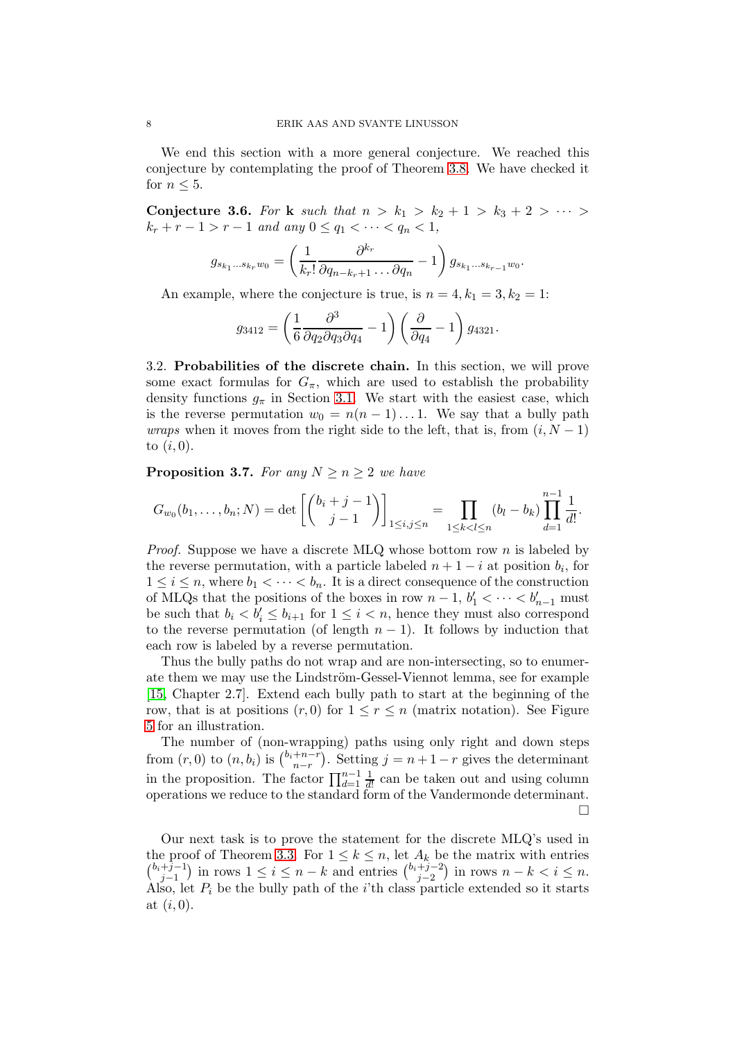We end this section with a more general conjecture. We reached this conjecture by contemplating the proof of Theorem [3.8.](#page-8-0) We have checked it for  $n \leq 5$ .

<span id="page-7-0"></span>Conjecture 3.6. For k such that  $n > k_1 > k_2 + 1 > k_3 + 2 > \cdots >$  $k_r + r - 1 > r - 1$  and any  $0 \le q_1 < \cdots < q_n < 1$ ,

$$
g_{s_{k_1}\dots s_{k_r}w_0} = \left(\frac{1}{k_r!} \frac{\partial^{k_r}}{\partial q_{n-k_r+1}\dots \partial q_n} - 1\right) g_{s_{k_1}\dots s_{k_{r-1}}w_0}.
$$

An example, where the conjecture is true, is  $n = 4, k_1 = 3, k_2 = 1$ :

$$
g_{3412} = \left(\frac{1}{6} \frac{\partial^3}{\partial q_2 \partial q_3 \partial q_4} - 1\right) \left(\frac{\partial}{\partial q_4} - 1\right) g_{4321}.
$$

<span id="page-7-1"></span>3.2. Probabilities of the discrete chain. In this section, we will prove some exact formulas for  $G_{\pi}$ , which are used to establish the probability density functions  $g_{\pi}$  in Section [3.1.](#page-5-2) We start with the easiest case, which is the reverse permutation  $w_0 = n(n-1)...1$ . We say that a bully path *wraps* when it moves from the right side to the left, that is, from  $(i, N - 1)$ to  $(i, 0)$ .

<span id="page-7-2"></span>**Proposition 3.7.** For any  $N > n > 2$  we have

$$
G_{w_0}(b_1,\ldots,b_n;N) = \det\left[\binom{b_i+j-1}{j-1}\right]_{1\leq i,j\leq n} = \prod_{1\leq k
$$

*Proof.* Suppose we have a discrete MLQ whose bottom row n is labeled by the reverse permutation, with a particle labeled  $n + 1 - i$  at position  $b_i$ , for  $1 \leq i \leq n$ , where  $b_1 < \cdots < b_n$ . It is a direct consequence of the construction of MLQs that the positions of the boxes in row  $n-1$ ,  $b'_1 < \cdots < b'_{n-1}$  must be such that  $b_i < b'_i \leq b_{i+1}$  for  $1 \leq i < n$ , hence they must also correspond to the reverse permutation (of length  $n-1$ ). It follows by induction that each row is labeled by a reverse permutation.

Thus the bully paths do not wrap and are non-intersecting, so to enumerate them we may use the Lindström-Gessel-Viennot lemma, see for example [\[15,](#page-20-6) Chapter 2.7]. Extend each bully path to start at the beginning of the row, that is at positions  $(r, 0)$  for  $1 \leq r \leq n$  (matrix notation). See Figure [5](#page-8-1) for an illustration.

The number of (non-wrapping) paths using only right and down steps from  $(r,0)$  to  $(n,b_i)$  is  $\binom{b_i+n-r}{n-r}$  $\binom{+n-r}{n-r}$ . Setting  $j = n + 1 - r$  gives the determinant in the proposition. The factor  $\prod_{d=1}^{n-1} \frac{1}{d!}$  can be taken out and using column operations we reduce to the standard form of the Vandermonde determinant.  $\Box$ 

Our next task is to prove the statement for the discrete MLQ's used in the proof of Theorem [3.3.](#page-5-1) For  $1 \leq k \leq n$ , let  $A_k$  be the matrix with entries  $\binom{b_i+j-1}{i}$  $j-1 \choose j-1$  in rows  $1 \leq i \leq n-k$  and entries  $\binom{b_i+j-2}{j-2}$  $j-2 \choose j-2}$  in rows  $n-k < i \leq n$ . Also, let  $P_i$  be the bully path of the *i*'th class particle extended so it starts at  $(i, 0)$ .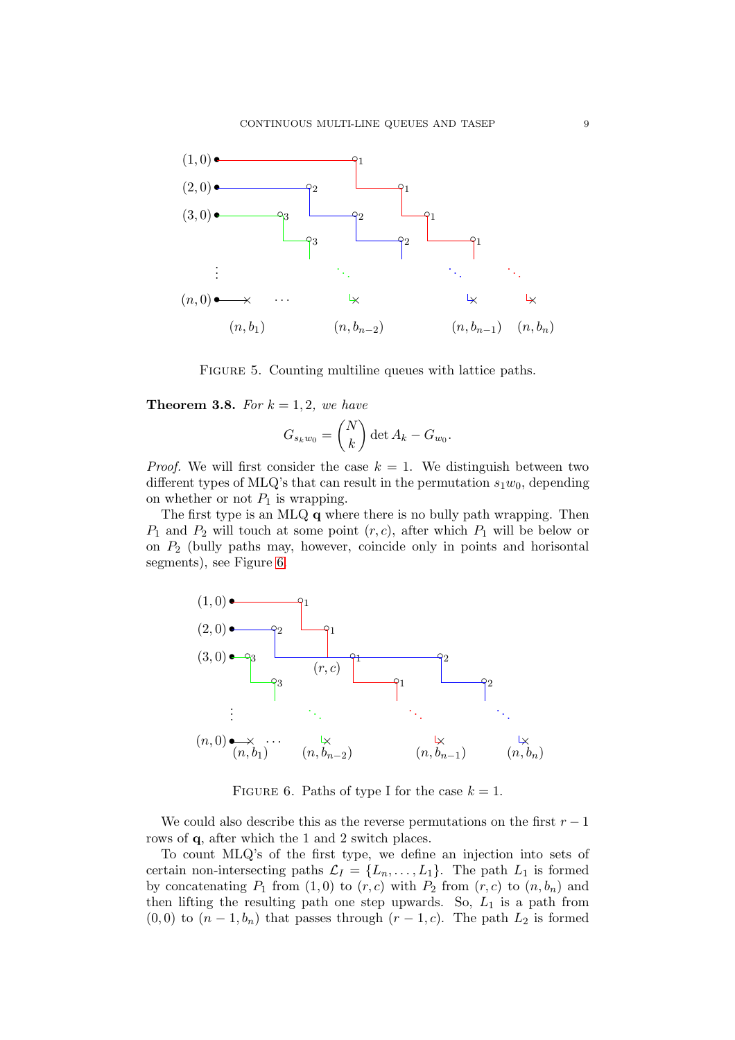

FIGURE 5. Counting multiline queues with lattice paths.

<span id="page-8-0"></span>**Theorem 3.8.** For  $k = 1, 2$ , we have

<span id="page-8-1"></span>
$$
G_{s_k w_0} = \binom{N}{k} \det A_k - G_{w_0}.
$$

*Proof.* We will first consider the case  $k = 1$ . We distinguish between two different types of MLQ's that can result in the permutation  $s_1w_0$ , depending on whether or not  $P_1$  is wrapping.

The first type is an MLQ q where there is no bully path wrapping. Then  $P_1$  and  $P_2$  will touch at some point  $(r, c)$ , after which  $P_1$  will be below or on  $P_2$  (bully paths may, however, coincide only in points and horisontal segments), see Figure [6.](#page-8-2)



<span id="page-8-2"></span>FIGURE 6. Paths of type I for the case  $k = 1$ .

We could also describe this as the reverse permutations on the first  $r - 1$ rows of q, after which the 1 and 2 switch places.

To count MLQ's of the first type, we define an injection into sets of certain non-intersecting paths  $\mathcal{L}_I = \{L_n, \ldots, L_1\}$ . The path  $L_1$  is formed by concatenating  $P_1$  from  $(1,0)$  to  $(r, c)$  with  $P_2$  from  $(r, c)$  to  $(n, b_n)$  and then lifting the resulting path one step upwards. So,  $L_1$  is a path from  $(0, 0)$  to  $(n - 1, b_n)$  that passes through  $(r - 1, c)$ . The path  $L_2$  is formed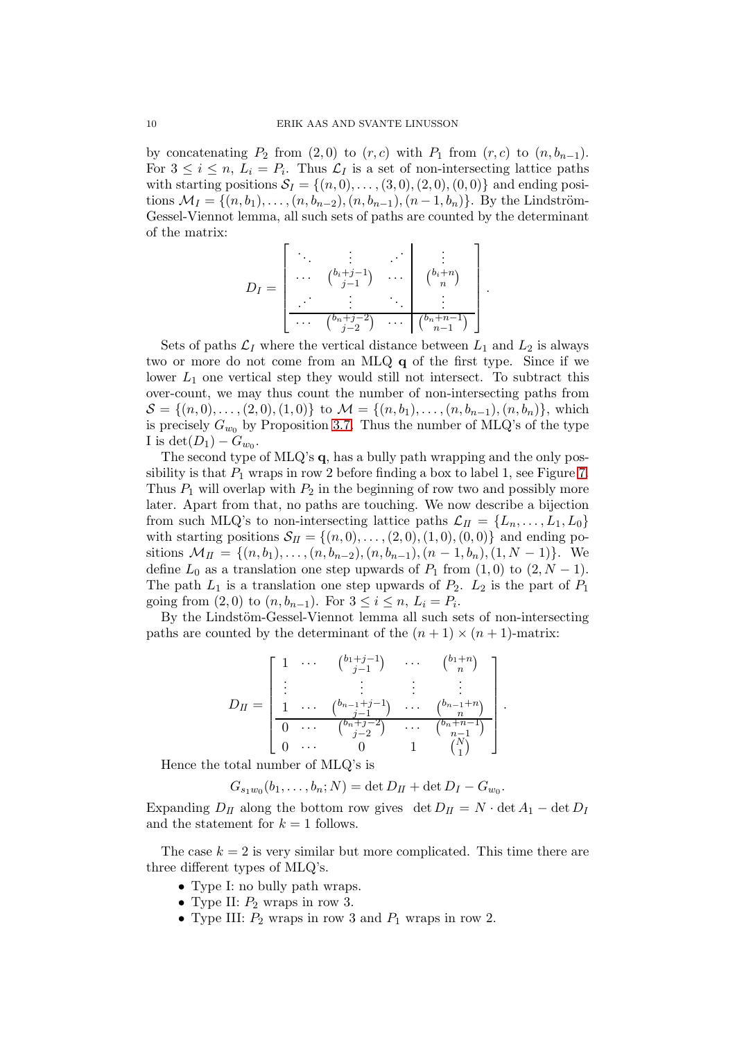by concatenating  $P_2$  from  $(2, 0)$  to  $(r, c)$  with  $P_1$  from  $(r, c)$  to  $(n, b_{n-1})$ . For  $3 \leq i \leq n$ ,  $L_i = P_i$ . Thus  $\mathcal{L}_I$  is a set of non-intersecting lattice paths with starting positions  $S_I = \{(n, 0), \ldots, (3, 0), (2, 0), (0, 0)\}\$ and ending positions  $\mathcal{M}_I = \{(n, b_1), \ldots, (n, b_{n-2}), (n, b_{n-1}), (n-1, b_n)\}.$  By the Lindström-Gessel-Viennot lemma, all such sets of paths are counted by the determinant of the matrix:

$$
D_I = \begin{bmatrix} \ddots & \vdots & \ddots & \vdots \\ \cdots & \binom{b_i+j-1}{j-1} & \cdots & \binom{b_i+n}{n} \\ \vdots & \vdots & \ddots & \vdots \\ \cdots & \binom{b_n+j-2}{j-2} & \cdots & \binom{b_n+n-1}{n-1} \end{bmatrix}.
$$

Sets of paths  $\mathcal{L}_I$  where the vertical distance between  $L_1$  and  $L_2$  is always two or more do not come from an MLQ q of the first type. Since if we lower  $L_1$  one vertical step they would still not intersect. To subtract this over-count, we may thus count the number of non-intersecting paths from  $S = \{(n, 0), \ldots, (2, 0), (1, 0)\}\;$  to  $\mathcal{M} = \{(n, b_1), \ldots, (n, b_{n-1}), (n, b_n)\}\;$  which is precisely  $G_{w_0}$  by Proposition [3.7.](#page-7-2) Thus the number of MLQ's of the type I is  $\det(D_1) - G_{w_0}$ .

The second type of MLQ's q, has a bully path wrapping and the only possibility is that  $P_1$  wraps in row 2 before finding a box to label 1, see Figure [7.](#page-10-0) Thus  $P_1$  will overlap with  $P_2$  in the beginning of row two and possibly more later. Apart from that, no paths are touching. We now describe a bijection from such MLQ's to non-intersecting lattice paths  $\mathcal{L}_{II} = \{L_n, \ldots, L_1, L_0\}$ with starting positions  $S_{II} = \{(n, 0), \ldots, (2, 0), (1, 0), (0, 0)\}\$  and ending positions  $\mathcal{M}_{II} = \{(n, b_1), \ldots, (n, b_{n-2}), (n, b_{n-1}), (n-1, b_n), (1, N-1)\}.$  We define  $L_0$  as a translation one step upwards of  $P_1$  from  $(1,0)$  to  $(2, N-1)$ . The path  $L_1$  is a translation one step upwards of  $P_2$ .  $L_2$  is the part of  $P_1$ going from  $(2,0)$  to  $(n, b_{n-1})$ . For  $3 \le i \le n$ ,  $L_i = P_i$ .

By the Lindstöm-Gessel-Viennot lemma all such sets of non-intersecting paths are counted by the determinant of the  $(n + 1) \times (n + 1)$ -matrix:

$$
D_{II} = \begin{bmatrix} 1 & \cdots & {b_{1}+j-1 \choose j-1} & \cdots & {b_{1}+n \choose n} \\ \vdots & & \vdots & \vdots & \vdots \\ 1 & \cdots & {b_{n-1}+j-1 \choose j-1} & \cdots & {b_{n-1}+n \choose n} \\ \hline 0 & \cdots & {b_{n}+j-2 \choose j-2} & \cdots & {b_{n}+n-1 \choose n-1} \\ 0 & \cdots & 0 & 1 & {N \choose 1} \end{bmatrix}.
$$

Hence the total number of MLQ's is

$$
G_{s_1w_0}(b_1,\ldots,b_n;N) = \det D_{II} + \det D_I - G_{w_0}.
$$

Expanding  $D_{II}$  along the bottom row gives det  $D_{II} = N \cdot \det A_1 - \det D_I$ and the statement for  $k = 1$  follows.

The case  $k = 2$  is very similar but more complicated. This time there are three different types of MLQ's.

- Type I: no bully path wraps.
- Type II:  $P_2$  wraps in row 3.
- Type III:  $P_2$  wraps in row 3 and  $P_1$  wraps in row 2.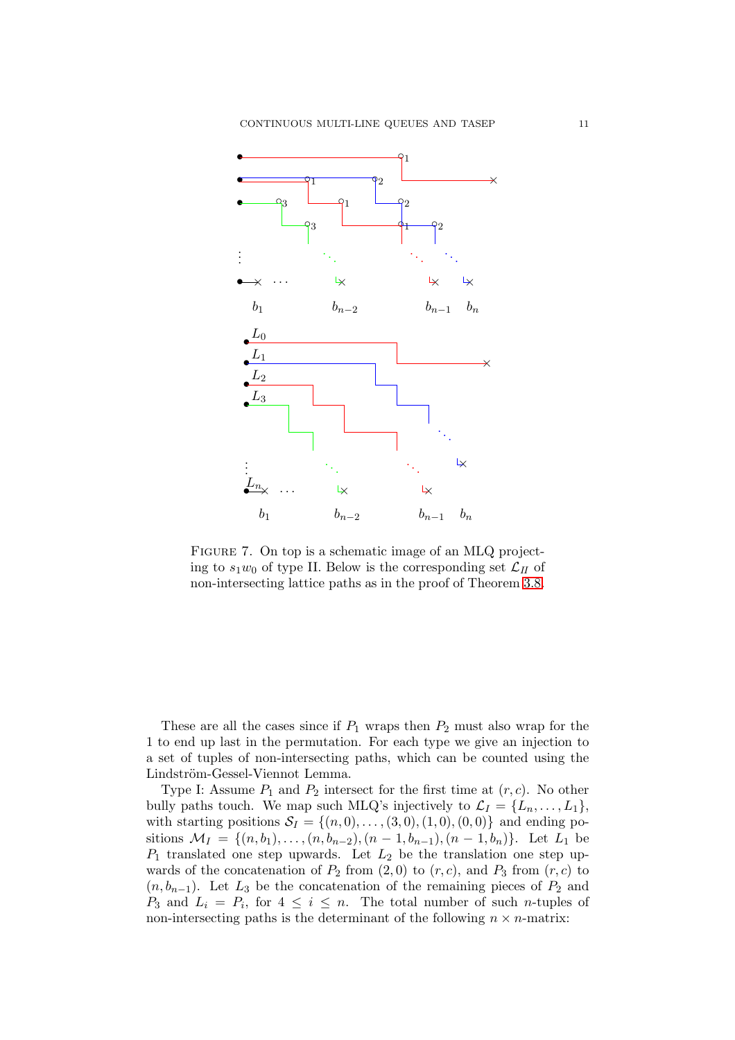

<span id="page-10-0"></span>Figure 7. On top is a schematic image of an MLQ projecting to  $s_1w_0$  of type II. Below is the corresponding set  $\mathcal{L}_H$  of non-intersecting lattice paths as in the proof of Theorem [3.8.](#page-8-0)

These are all the cases since if  $P_1$  wraps then  $P_2$  must also wrap for the 1 to end up last in the permutation. For each type we give an injection to a set of tuples of non-intersecting paths, which can be counted using the Lindström-Gessel-Viennot Lemma.

Type I: Assume  $P_1$  and  $P_2$  intersect for the first time at  $(r, c)$ . No other bully paths touch. We map such MLQ's injectively to  $\mathcal{L}_I = \{L_n, \ldots, L_1\},\$ with starting positions  $S_I = \{(n, 0), \ldots, (3, 0), (1, 0), (0, 0)\}\$  and ending positions  $\mathcal{M}_I = \{(n, b_1), \ldots, (n, b_{n-2}), (n-1, b_{n-1}), (n-1, b_n)\}.$  Let  $L_1$  be  $P_1$  translated one step upwards. Let  $L_2$  be the translation one step upwards of the concatenation of  $P_2$  from  $(2, 0)$  to  $(r, c)$ , and  $P_3$  from  $(r, c)$  to  $(n, b_{n-1})$ . Let  $L_3$  be the concatenation of the remaining pieces of  $P_2$  and  $P_3$  and  $L_i = P_i$ , for  $4 \leq i \leq n$ . The total number of such *n*-tuples of non-intersecting paths is the determinant of the following  $n \times n$ -matrix: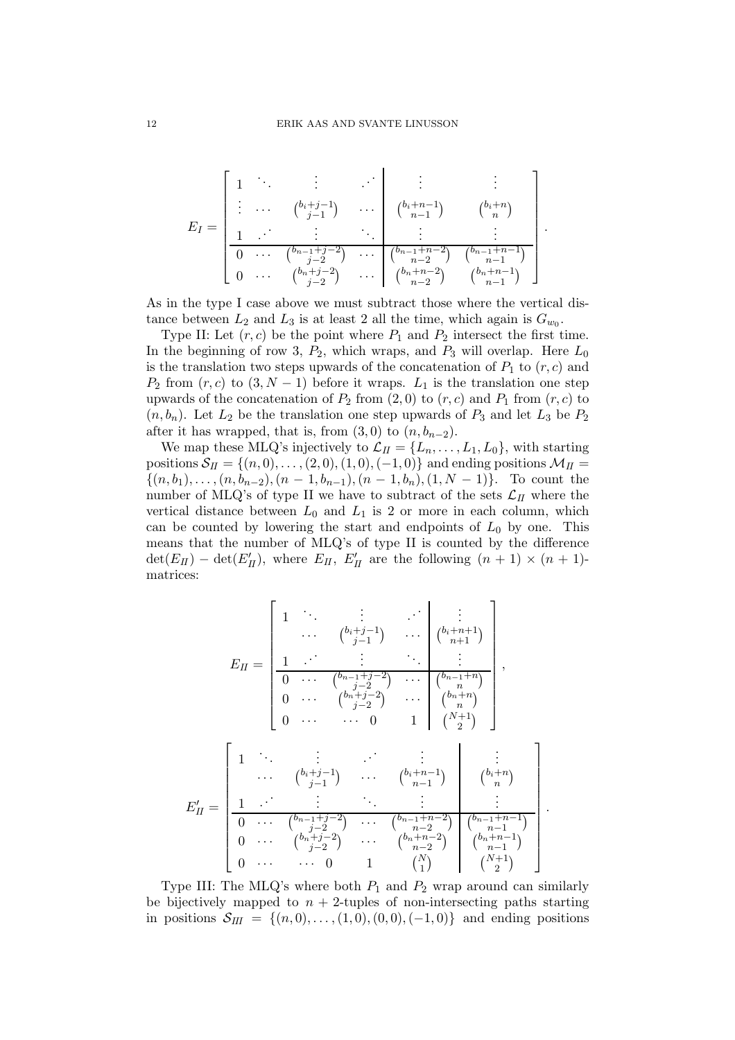$$
E_I = \begin{bmatrix} 1 & \cdots & \vdots & \cdots & \vdots & \vdots & \vdots \\ \vdots & \cdots & \binom{b_i+j-1}{j-1} & \cdots & \binom{b_i+n-1}{n-1} & \binom{b_i+n}{n} \\ \frac{1}{0} & \cdots & \binom{b_{n-1}+j-2}{j-2} & \cdots & \binom{b_{n-1}+n-2}{n-2} & \binom{b_{n-1}+n-1}{n-1} \\ 0 & \cdots & \binom{b_n+j-2}{j-2} & \cdots & \binom{b_n+n-2}{n-2} & \binom{b_n+n-1}{n-1} \end{bmatrix}.
$$

As in the type I case above we must subtract those where the vertical distance between  $L_2$  and  $L_3$  is at least 2 all the time, which again is  $G_{w_0}$ .

Type II: Let  $(r, c)$  be the point where  $P_1$  and  $P_2$  intersect the first time. In the beginning of row 3,  $P_2$ , which wraps, and  $P_3$  will overlap. Here  $L_0$ is the translation two steps upwards of the concatenation of  $P_1$  to  $(r, c)$  and  $P_2$  from  $(r, c)$  to  $(3, N - 1)$  before it wraps.  $L_1$  is the translation one step upwards of the concatenation of  $P_2$  from  $(2,0)$  to  $(r, c)$  and  $P_1$  from  $(r, c)$  to  $(n, b_n)$ . Let  $L_2$  be the translation one step upwards of  $P_3$  and let  $L_3$  be  $P_2$ after it has wrapped, that is, from  $(3,0)$  to  $(n, b_{n-2})$ .

We map these MLQ's injectively to  $\mathcal{L}_{II} = \{L_n, \ldots, L_1, L_0\}$ , with starting positions  $S_{II} = \{(n, 0), \ldots, (2, 0), (1, 0), (-1, 0)\}\$ and ending positions  $\mathcal{M}_{II} =$  $\{(n, b_1), \ldots, (n, b_{n-2}), (n-1, b_{n-1}), (n-1, b_n), (1, N-1)\}.$  To count the number of MLQ's of type II we have to subtract of the sets  $\mathcal{L}_{II}$  where the vertical distance between  $L_0$  and  $L_1$  is 2 or more in each column, which can be counted by lowering the start and endpoints of  $L_0$  by one. This means that the number of MLQ's of type II is counted by the difference  $\det(E_{II}) - \det(E'_{II}),$  where  $E_{II}, E'_{II}$  are the following  $(n + 1) \times (n + 1)$ matrices:

$$
E_{II} = \begin{bmatrix} 1 & \cdots & \vdots & \vdots & \vdots & \vdots \\ 1 & \cdots & \binom{b_i+j-1}{j-1} & \cdots & \binom{b_i+n+1}{n+1} \\ \frac{1}{0} & \cdots & \binom{b_{n-1}+j-2}{j-2} & \cdots & \binom{b_{n-1}+n}{n} \\ 0 & \cdots & \binom{b_{n}+j-2}{j-2} & \cdots & \binom{b_{n}+n}{n} \\ 0 & \cdots & \cdots & 0 & 1 & \binom{N+1}{2} \end{bmatrix},
$$
  

$$
E'_{II} = \begin{bmatrix} 1 & \cdots & \vdots & \ddots & \vdots & \vdots & \vdots \\ 1 & \cdots & \binom{b_i+j-1}{j-1} & \cdots & \binom{b_i+n-1}{n-1} & \binom{b_i+n}{n} \\ \vdots & \vdots & \ddots & \vdots & \vdots & \vdots \\ 0 & \cdots & \binom{b_{n-1}+j-2}{j-2} & \cdots & \binom{b_{n-1}+n-2}{n-2} & \binom{b_{n-1}+n-1}{n-1} \\ 0 & \cdots & \binom{b_{n}+j-2}{j-2} & \cdots & \binom{b_{n}+n-2}{n-2} & \binom{b_{n-1}+n-1}{n-1} \\ 0 & \cdots & \cdots & 0 & 1 & \binom{N}{1} & \binom{N+1}{2} \end{bmatrix}
$$

.

Type III: The MLQ's where both  $P_1$  and  $P_2$  wrap around can similarly be bijectively mapped to  $n + 2$ -tuples of non-intersecting paths starting in positions  $S_{III} = \{(n, 0), \ldots, (1, 0), (0, 0), (-1, 0)\}\$ and ending positions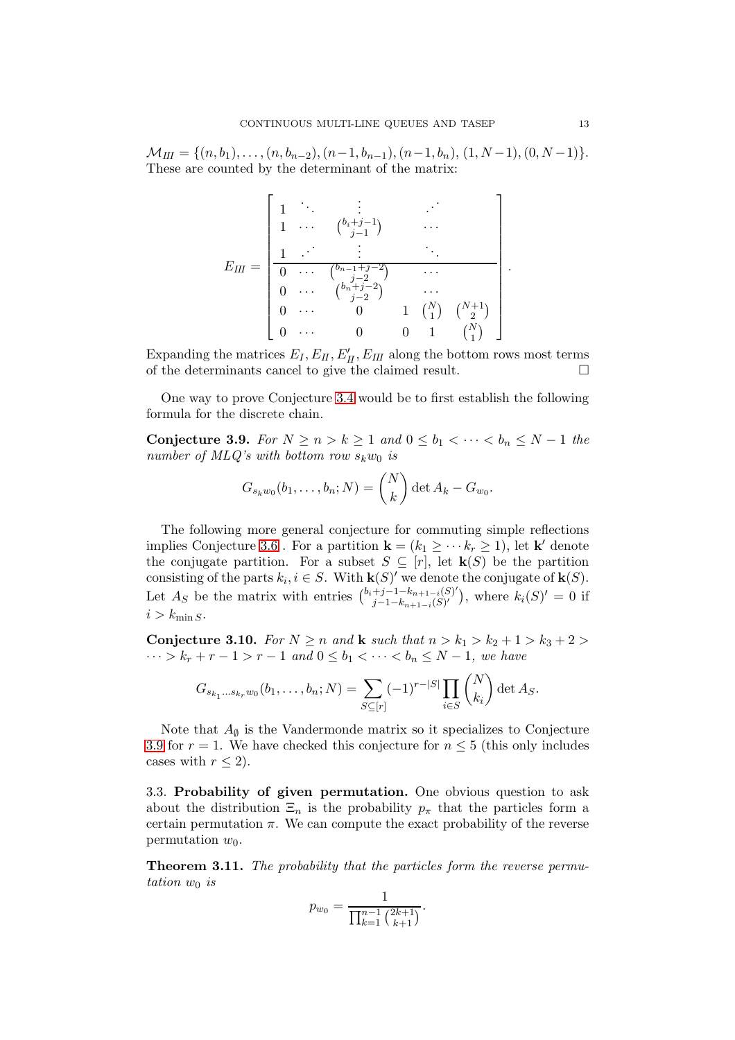$M_{III} = \{(n, b_1), \ldots, (n, b_{n-2}), (n-1, b_{n-1}), (n-1, b_n), (1, N-1), (0, N-1)\}.$ These are counted by the determinant of the matrix:

$$
E_{III} = \begin{bmatrix} 1 & \cdots & \vdots & \cdots & \vdots \\ 1 & \cdots & {b_{i}+j-1} & & \cdots & \cdots \\ \frac{1}{0} & \cdots & {b_{n-1}+j-2} & & \cdots & \cdots & \cdots \\ 0 & \cdots & {b_{n}+j-2} & & \cdots & \cdots & \cdots \\ 0 & \cdots & {b_{n}+j-2} & & \cdots & \cdots & \cdots \\ 0 & \cdots & 0 & 1 & {N \choose 1} & {N+1 \choose 2} \\ 0 & \cdots & 0 & 0 & 1 & {N \choose 1} \end{bmatrix}
$$

Expanding the matrices  $E_I, E_{II}, E'_{II}, E_{III}$  along the bottom rows most terms of the determinants cancel to give the claimed result.  $\Box$ 

One way to prove Conjecture [3.4](#page-6-0) would be to first establish the following formula for the discrete chain.

<span id="page-12-1"></span>Conjecture 3.9. For  $N \ge n > k \ge 1$  and  $0 \le b_1 < \cdots < b_n \le N - 1$  the number of MLQ's with bottom row  $s_k w_0$  is

$$
G_{s_kw_0}(b_1,\ldots,b_n;N)=\binom{N}{k}\det A_k-G_{w_0}.
$$

The following more general conjecture for commuting simple reflections implies Conjecture [3.6](#page-7-0). For a partition  $\mathbf{k} = (k_1 \geq \cdots k_r \geq 1)$ , let  $\mathbf{k}'$  denote the conjugate partition. For a subset  $S \subseteq [r]$ , let  $\mathbf{k}(S)$  be the partition consisting of the parts  $k_i, i \in S$ . With  $\mathbf{k}(S)'$  we denote the conjugate of  $\mathbf{k}(S)$ . Let  $A_S$  be the matrix with entries  $\binom{b_i+j-1-k_{n+1-i}(S)'}{i-1-k_{n+1-i}(S)}$  $j-1-k_{n+1-i}(S)$ '), where  $k_i(S)'=0$  if  $i > k_{\min S}$ .

Conjecture 3.10. For  $N \ge n$  and k such that  $n > k_1 > k_2 + 1 > k_3 + 2 >$  $\cdots > k_r + r - 1 > r - 1$  and  $0 \leq b_1 < \cdots < b_n \leq N - 1$ , we have

$$
G_{s_{k_1}...s_{k_r}w_0}(b_1,...,b_n;N) = \sum_{S \subseteq [r]} (-1)^{r-|S|} \prod_{i \in S} {N \choose k_i} \det A_S.
$$

Note that  $A_{\emptyset}$  is the Vandermonde matrix so it specializes to Conjecture [3.9](#page-12-1) for  $r = 1$ . We have checked this conjecture for  $n \leq 5$  (this only includes cases with  $r < 2$ ).

3.3. Probability of given permutation. One obvious question to ask about the distribution  $\Xi_n$  is the probability  $p_\pi$  that the particles form a certain permutation  $\pi$ . We can compute the exact probability of the reverse permutation  $w_0$ .

<span id="page-12-0"></span>Theorem 3.11. The probability that the particles form the reverse permutation  $w_0$  is

$$
p_{w_0} = \frac{1}{\prod_{k=1}^{n-1} {2k+1 \choose k+1}}.
$$

.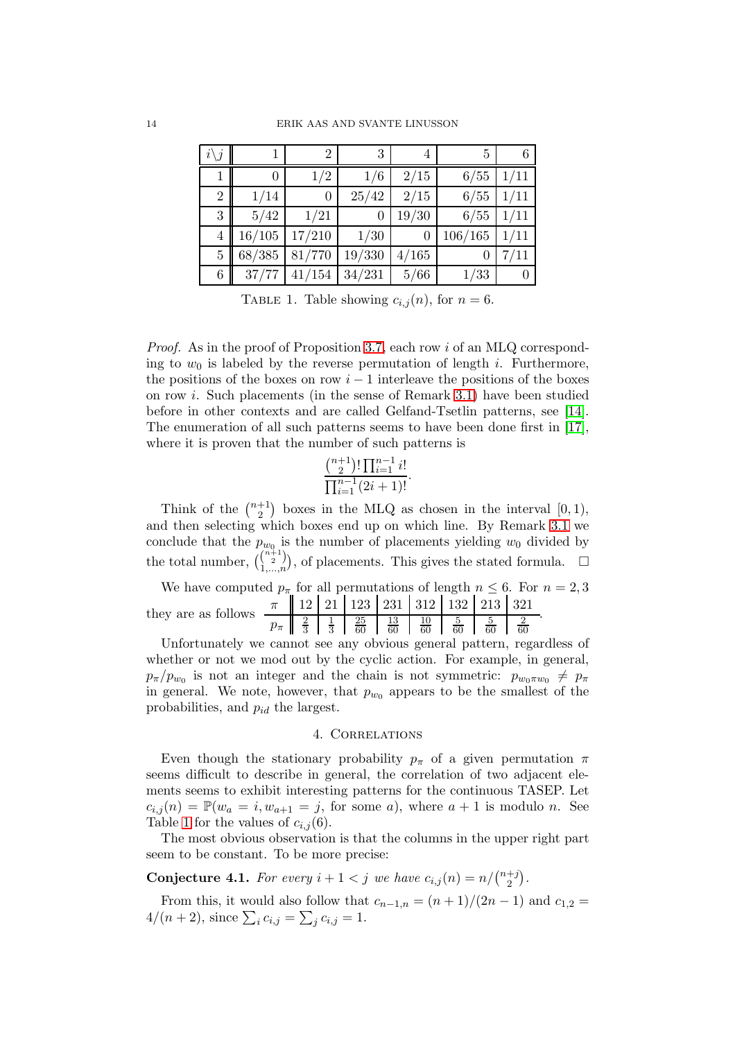| $i\backslash j$ |        | $\overline{2}$ | 3      | 4     | 5        | 6    |
|-----------------|--------|----------------|--------|-------|----------|------|
|                 | 0      | 1/2            | 1/6    | 2/15  | 6/55     | 1/11 |
| $\overline{2}$  | 1/14   | $\theta$       | 25/42  | 2/15  | 6/55     | 1/11 |
| 3               | 5/42   | 1/21           | 0      | 19/30 | 6/55     | 1/11 |
| 4               | 16/105 | 17/210         | 1/30   | 0     | 106/165  | 1/11 |
| $\overline{5}$  | 68/385 | 81/770         | 19/330 | 4/165 | $\theta$ | 7/11 |
| 6               | 37/77  | 41/154         | 34/231 | 5/66  | 1/33     |      |

<span id="page-13-1"></span>TABLE 1. Table showing  $c_{i,j}(n)$ , for  $n = 6$ .

Proof. As in the proof of Proposition [3.7,](#page-7-2) each row i of an MLQ corresponding to  $w_0$  is labeled by the reverse permutation of length i. Furthermore, the positions of the boxes on row  $i - 1$  interleave the positions of the boxes on row i. Such placements (in the sense of Remark [3.1\)](#page-4-2) have been studied before in other contexts and are called Gelfand-Tsetlin patterns, see [\[14\]](#page-20-7). The enumeration of all such patterns seems to have been done first in [\[17\]](#page-20-8), where it is proven that the number of such patterns is

$$
\frac{\binom{n+1}{2}!\prod_{i=1}^{n-1}i!}{\prod_{i=1}^{n-1}(2i+1)!}.
$$

Think of the  $\binom{n+1}{2}$  $\binom{+1}{2}$  boxes in the MLQ as chosen in the interval  $[0,1)$ , and then selecting which boxes end up on which line. By Remark [3.1](#page-4-2) we conclude that the  $p_{w_0}$  is the number of placements yielding  $w_0$  divided by the total number,  $\binom{\binom{n+1}{2}}{n}$  $\binom{\binom{n+1}{2}}{1,\ldots,n}$ , of placements. This gives the stated formula.  $\Box$ 

We have computed  $p_{\pi}$  for all permutations of length  $n \leq 6$ . For  $n = 2, 3$ they are as follows  $\frac{\pi}{2}$   $\frac{12}{21}$   $\frac{21}{23}$   $\frac{231}{231}$   $\frac{312}{10}$   $\frac{132}{5}$   $\frac{213}{5}$   $\frac{321}{2}$  $p_{\pi} \parallel \frac{2}{3}$ 1 25 13 10 5 5 2 .

3 3 60 60 60 60 60 60 Unfortunately we cannot see any obvious general pattern, regardless of whether or not we mod out by the cyclic action. For example, in general,  $p_{\pi}/p_{w_0}$  is not an integer and the chain is not symmetric:  $p_{w_0\pi w_0} \neq p_{\pi}$ in general. We note, however, that  $p_{w_0}$  appears to be the smallest of the probabilities, and  $p_{id}$  the largest.

# 4. Correlations

<span id="page-13-0"></span>Even though the stationary probability  $p_{\pi}$  of a given permutation  $\pi$ seems difficult to describe in general, the correlation of two adjacent elements seems to exhibit interesting patterns for the continuous TASEP. Let  $c_{i,j}(n) = \mathbb{P}(w_a = i, w_{a+1} = j, \text{ for some } a)$ , where  $a+1$  is modulo n. See Table [1](#page-13-1) for the values of  $c_{i,j}(6)$ .

The most obvious observation is that the columns in the upper right part seem to be constant. To be more precise:

**Conjecture 4.1.** For every  $i + 1 < j$  we have  $c_{i,j}(n) = n/{\binom{n+j}{2}}$  $\binom{+j}{2}$ .

From this, it would also follow that  $c_{n-1,n} = (n+1)/(2n-1)$  and  $c_{1,2} =$  $4/(n+2)$ , since  $\sum_i c_{i,j} = \sum_j c_{i,j} = 1$ .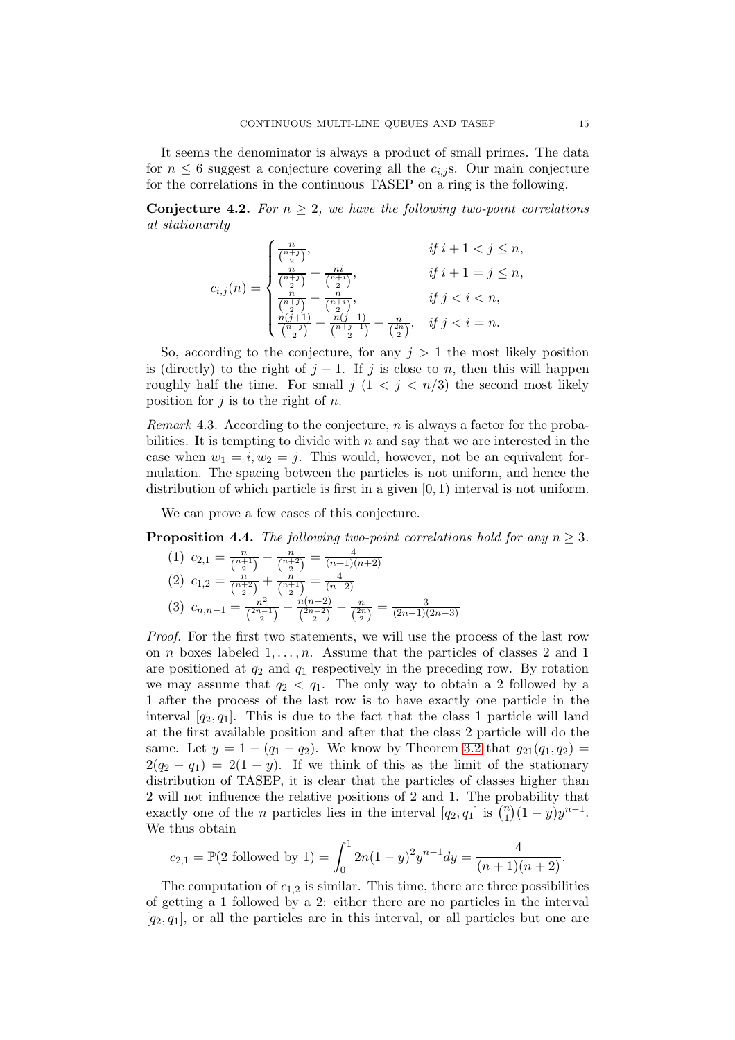It seems the denominator is always a product of small primes. The data for  $n \leq 6$  suggest a conjecture covering all the  $c_{i,j}$  s. Our main conjecture for the correlations in the continuous TASEP on a ring is the following.

**Conjecture 4.2.** For  $n \geq 2$ , we have the following two-point correlations at stationarity

$$
c_{i,j}(n) = \begin{cases} \frac{n}{\binom{n+j}{2}}, & \text{if } i+1 < j \le n, \\ \frac{n}{\binom{n+j}{2}} + \frac{ni}{\binom{n+i}{2}}, & \text{if } i+1 = j \le n, \\ \frac{n}{\binom{n+j}{2}} - \frac{n}{\binom{n+i}{2}}, & \text{if } j < i < n, \\ \frac{n(j+1)}{\binom{n+j}{2}} - \frac{n(j-1)}{\binom{n+j-1}{2}} - \frac{n}{\binom{n}{2}}, & \text{if } j < i = n. \end{cases}
$$

So, according to the conjecture, for any  $j > 1$  the most likely position is (directly) to the right of  $j-1$ . If j is close to n, then this will happen roughly half the time. For small  $j$   $(1 < j < n/3)$  the second most likely position for  $j$  is to the right of  $n$ .

*Remark* 4.3. According to the conjecture, n is always a factor for the probabilities. It is tempting to divide with  $n$  and say that we are interested in the case when  $w_1 = i, w_2 = j$ . This would, however, not be an equivalent formulation. The spacing between the particles is not uniform, and hence the distribution of which particle is first in a given  $[0, 1)$  interval is not uniform.

We can prove a few cases of this conjecture.

**Proposition 4.4.** The following two-point correlations hold for any  $n \geq 3$ .

$$
(1) \ c_{2,1} = \frac{n}{\binom{n+1}{2}} - \frac{n}{\binom{n+2}{2}} = \frac{4}{(n+1)(n+2)}
$$
\n
$$
(2) \ c_{1,2} = \frac{n}{\binom{n+2}{2}} + \frac{n}{\binom{n+1}{2}} = \frac{4}{(n+2)}
$$
\n
$$
(3) \ c_{n,n-1} = \frac{n^2}{\binom{2n-1}{2}} - \frac{n(n-2)}{\binom{2n-2}{2}} - \frac{n}{\binom{2n}{2}} = \frac{3}{(2n-1)(2n-3)}
$$

*Proof.* For the first two statements, we will use the process of the last row on *n* boxes labeled  $1, \ldots, n$ . Assume that the particles of classes 2 and 1 are positioned at  $q_2$  and  $q_1$  respectively in the preceding row. By rotation we may assume that  $q_2 < q_1$ . The only way to obtain a 2 followed by a 1 after the process of the last row is to have exactly one particle in the interval  $[q_2, q_1]$ . This is due to the fact that the class 1 particle will land at the first available position and after that the class 2 particle will do the same. Let  $y = 1 - (q_1 - q_2)$ . We know by Theorem [3.2](#page-5-0) that  $g_{21}(q_1, q_2) =$  $2(q_2 - q_1) = 2(1 - y)$ . If we think of this as the limit of the stationary distribution of TASEP, it is clear that the particles of classes higher than 2 will not influence the relative positions of 2 and 1. The probability that exactly one of the *n* particles lies in the interval  $[q_2, q_1]$  is  $\binom{n}{1}$  $\binom{n}{1}(1-y)y^{n-1}.$ We thus obtain

$$
c_{2,1} = \mathbb{P}(2 \text{ followed by } 1) = \int_0^1 2n(1-y)^2 y^{n-1} dy = \frac{4}{(n+1)(n+2)}.
$$

The computation of  $c_{1,2}$  is similar. This time, there are three possibilities of getting a 1 followed by a 2: either there are no particles in the interval  $[q_2, q_1]$ , or all the particles are in this interval, or all particles but one are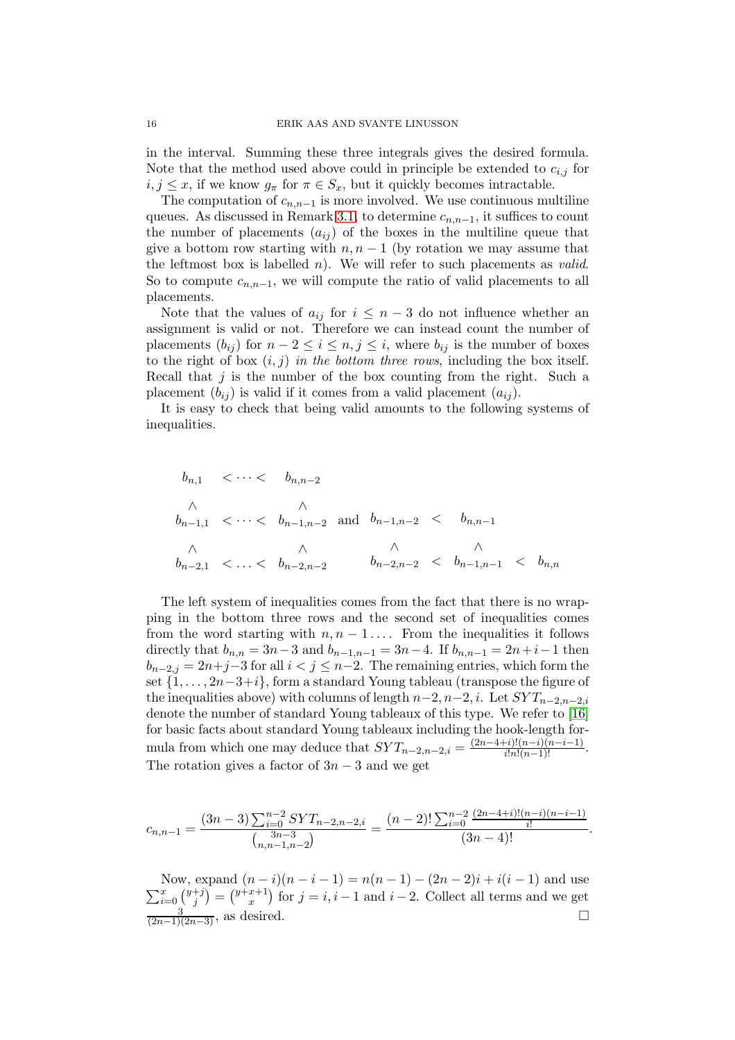in the interval. Summing these three integrals gives the desired formula. Note that the method used above could in principle be extended to  $c_{i,j}$  for  $i, j \leq x$ , if we know  $g_{\pi}$  for  $\pi \in S_x$ , but it quickly becomes intractable.

The computation of  $c_{n,n-1}$  is more involved. We use continuous multiline queues. As discussed in Remark [3.1,](#page-4-2) to determine  $c_{n,n-1}$ , it suffices to count the number of placements  $(a_{ij})$  of the boxes in the multiline queue that give a bottom row starting with  $n, n-1$  (by rotation we may assume that the leftmost box is labelled  $n$ ). We will refer to such placements as *valid*. So to compute  $c_{n,n-1}$ , we will compute the ratio of valid placements to all placements.

Note that the values of  $a_{ij}$  for  $i \leq n-3$  do not influence whether an assignment is valid or not. Therefore we can instead count the number of placements  $(b_{ij})$  for  $n-2 \leq i \leq n, j \leq i$ , where  $b_{ij}$  is the number of boxes to the right of box  $(i, j)$  in the bottom three rows, including the box itself. Recall that  $j$  is the number of the box counting from the right. Such a placement  $(b_{ij})$  is valid if it comes from a valid placement  $(a_{ij})$ .

It is easy to check that being valid amounts to the following systems of inequalities.

$$
b_{n,1} < \cdots < b_{n,n-2}
$$
  
\n
$$
\wedge \qquad \wedge b_{n-1,1} < \cdots < b_{n-1,n-2} \text{ and } b_{n-1,n-2} < b_{n,n-1}
$$
  
\n
$$
\wedge \qquad \wedge b_{n-2,1} < \cdots < b_{n-2,n-2} \qquad b_{n-2,n-2} < b_{n-1,n-1} < b_{n,n}
$$

The left system of inequalities comes from the fact that there is no wrapping in the bottom three rows and the second set of inequalities comes from the word starting with  $n, n-1, \ldots$  From the inequalities it follows directly that  $b_{n,n} = 3n-3$  and  $b_{n-1,n-1} = 3n-4$ . If  $b_{n,n-1} = 2n+i-1$  then  $b_{n-2,j} = 2n+j-3$  for all  $i < j \leq n-2$ . The remaining entries, which form the set  $\{1,\ldots,2n-3+i\}$ , form a standard Young tableau (transpose the figure of the inequalities above) with columns of length  $n-2$ ,  $n-2$ , i. Let  $SYT_{n-2,n-2,i}$ denote the number of standard Young tableaux of this type. We refer to [\[16\]](#page-20-9) for basic facts about standard Young tableaux including the hook-length formula from which one may deduce that  $SYT_{n-2,n-2,i} = \frac{(2n-4+i)!(n-i)(n-i-1)}{i!n!(n-1)!}$ . The rotation gives a factor of  $3n-3$  and we get

$$
c_{n,n-1} = \frac{(3n-3)\sum_{i=0}^{n-2} SYT_{n-2,n-2,i}}{\binom{3n-3}{n,n-1,n-2}} = \frac{(n-2)!\sum_{i=0}^{n-2} \frac{(2n-4+i)!(n-i)(n-i-1)}{i!}}{(3n-4)!}.
$$

 $\sum_{i=0}^{x} \binom{y+j}{j}$ Now, expand  $(n-i)(n-i-1) = n(n-1) - (2n-2)i + i(i-1)$  and use  $j^{+j}$ ) =  $\binom{y+x+1}{x}$  $\binom{x+1}{x}$  for  $j = i, i-1$  and  $i-2$ . Collect all terms and we get  $\frac{3}{(2n-1)(2n-3)}$ , as desired.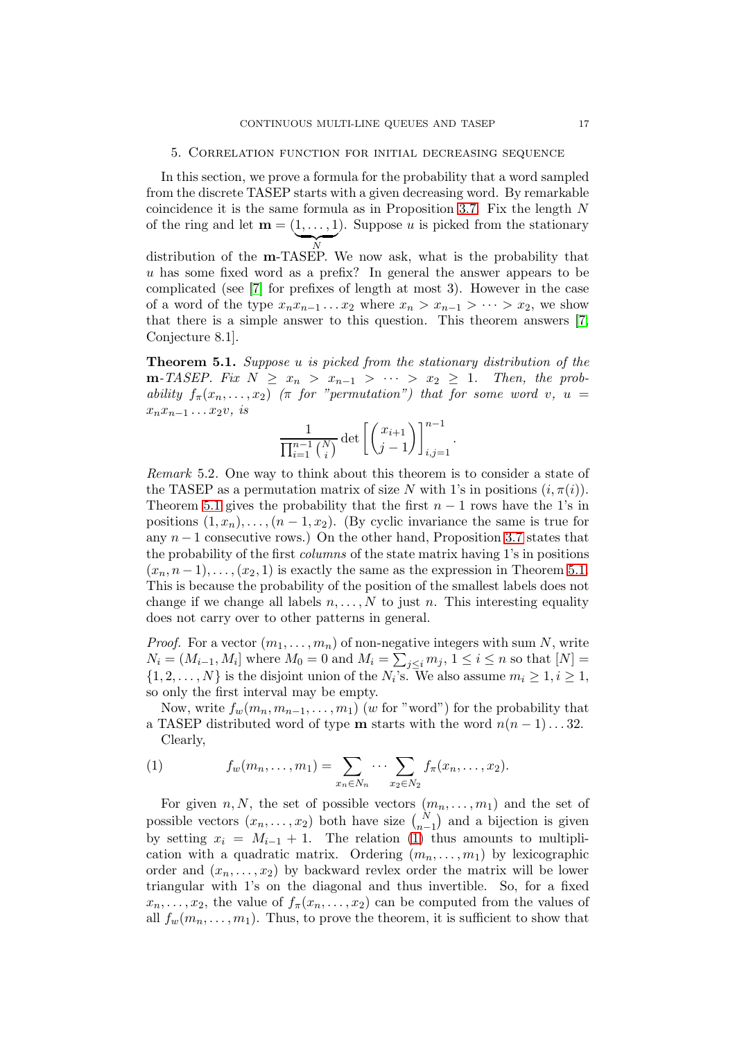## <span id="page-16-0"></span>5. Correlation function for initial decreasing sequence

In this section, we prove a formula for the probability that a word sampled from the discrete TASEP starts with a given decreasing word. By remarkable coincidence it is the same formula as in Proposition [3.7.](#page-7-2) Fix the length N of the ring and let  $\mathbf{m} = (1, \ldots, 1)$ . Suppose u is picked from the stationary  $\overline{N}$ distribution of the **m**-TASEP. We now ask, what is the probability that

u has some fixed word as a prefix? In general the answer appears to be complicated (see [\[7\]](#page-19-4) for prefixes of length at most 3). However in the case of a word of the type  $x_nx_{n-1} \ldots x_2$  where  $x_n > x_{n-1} > \cdots > x_2$ , we show that there is a simple answer to this question. This theorem answers [\[7,](#page-19-4) Conjecture 8.1].

<span id="page-16-1"></span>Theorem 5.1. Suppose u is picked from the stationary distribution of the **m**-TASEP. Fix  $N \geq x_n > x_{n-1} > \cdots > x_2 \geq 1$ . Then, the probability  $f_{\pi}(x_n, \ldots, x_2)$  ( $\pi$  for "permutation") that for some word v,  $u =$  $x_nx_{n-1} \ldots x_2v$ , is

$$
\frac{1}{\prod_{i=1}^{n-1} {N \choose i}} \det \left[ \binom{x_{i+1}}{j-1} \right]_{i,j=1}^{n-1}.
$$

<span id="page-16-2"></span>Remark 5.2. One way to think about this theorem is to consider a state of the TASEP as a permutation matrix of size N with 1's in positions  $(i, \pi(i))$ . Theorem [5.1](#page-16-1) gives the probability that the first  $n-1$  rows have the 1's in positions  $(1, x_n), \ldots, (n-1, x_2)$ . (By cyclic invariance the same is true for any  $n-1$  consecutive rows.) On the other hand, Proposition [3.7](#page-7-2) states that the probability of the first columns of the state matrix having 1's in positions  $(x_n, n-1), \ldots, (x_2, 1)$  is exactly the same as the expression in Theorem [5.1.](#page-16-1) This is because the probability of the position of the smallest labels does not change if we change all labels  $n, \ldots, N$  to just n. This interesting equality does not carry over to other patterns in general.

*Proof.* For a vector  $(m_1, \ldots, m_n)$  of non-negative integers with sum N, write  $N_i = (M_{i-1}, M_i]$  where  $M_0 = 0$  and  $M_i = \sum_{j \leq i} m_j$ ,  $1 \leq i \leq n$  so that  $[N] =$  $\{1, 2, \ldots, N\}$  is the disjoint union of the  $N_i$ 's. We also assume  $m_i \geq 1, i \geq 1$ , so only the first interval may be empty.

Now, write  $f_w(m_n, m_{n-1}, \ldots, m_1)$  (w for "word") for the probability that a TASEP distributed word of type **m** starts with the word  $n(n-1)...32$ . Clearly,

<span id="page-16-3"></span>(1) 
$$
f_w(m_n, ..., m_1) = \sum_{x_n \in N_n} \cdots \sum_{x_2 \in N_2} f_\pi(x_n, ..., x_2).
$$

For given  $n, N$ , the set of possible vectors  $(m_n, \ldots, m_1)$  and the set of possible vectors  $(x_n, \ldots, x_2)$  both have size  $\binom{N}{n-1}$  and a bijection is given by setting  $x_i = M_{i-1} + 1$ . The relation [\(1\)](#page-16-3) thus amounts to multiplication with a quadratic matrix. Ordering  $(m_n, \ldots, m_1)$  by lexicographic order and  $(x_n, \ldots, x_2)$  by backward revlex order the matrix will be lower triangular with 1's on the diagonal and thus invertible. So, for a fixed  $x_n, \ldots, x_2$ , the value of  $f_\pi(x_n, \ldots, x_2)$  can be computed from the values of all  $f_w(m_n, \ldots, m_1)$ . Thus, to prove the theorem, it is sufficient to show that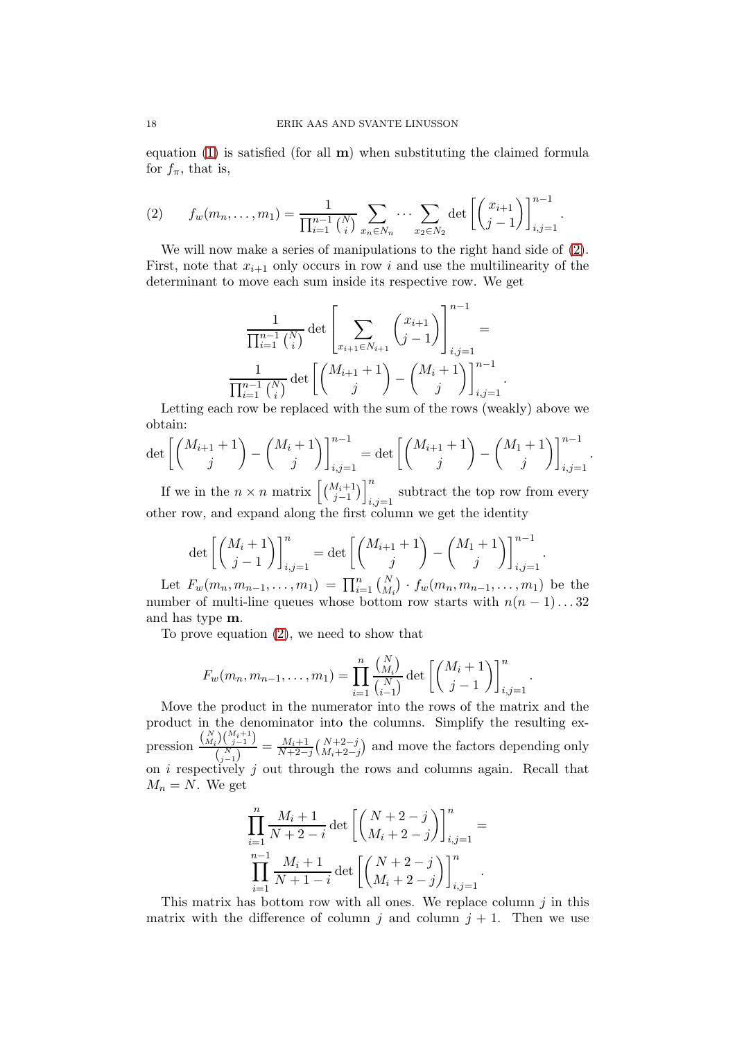equation  $(1)$  is satisfied (for all **m**) when substituting the claimed formula for  $f_{\pi}$ , that is,

<span id="page-17-0"></span>(2) 
$$
f_w(m_n, \ldots, m_1) = \frac{1}{\prod_{i=1}^{n-1} {N \choose i}} \sum_{x_n \in N_n} \cdots \sum_{x_2 \in N_2} \det \left[ {x_{i+1} \choose j-1} \right]_{i,j=1}^{n-1}.
$$

We will now make a series of manipulations to the right hand side of  $(2)$ . First, note that  $x_{i+1}$  only occurs in row i and use the multilinearity of the determinant to move each sum inside its respective row. We get

$$
\frac{1}{\prod_{i=1}^{n-1} {N \choose i}} \det \left[ \sum_{x_{i+1} \in N_{i+1}} {x_{i+1} \choose j-1} \right]_{i,j=1}^{n-1} = \frac{1}{\prod_{i=1}^{n-1} {N \choose i}} \det \left[ {M_{i+1} + 1 \choose j} - {M_i + 1 \choose j} \right]_{i,j=1}^{n-1}
$$

.

.

Letting each row be replaced with the sum of the rows (weakly) above we obtain:

$$
\det \left[ \binom{M_{i+1}+1}{j} - \binom{M_i+1}{j} \right]_{i,j=1}^{n-1} = \det \left[ \binom{M_{i+1}+1}{j} - \binom{M_1+1}{j} \right]_{i,j=1}^{n-1}.
$$

If we in the  $n \times n$  matrix  $\left[\binom{M_i+1}{j-1}\right]_i^n$ subtract the top row from every  $i,j=1$ other row, and expand along the first column we get the identity

$$
\det\left[\binom{M_i+1}{j-1}\right]_{i,j=1}^n = \det\left[\binom{M_{i+1}+1}{j} - \binom{M_1+1}{j}\right]_{i,j=1}^{n-1}
$$

Let  $F_w(m_n, m_{n-1}, \ldots, m_1) = \prod_{i=1}^n {N \choose M_i} \cdot f_w(m_n, m_{n-1}, \ldots, m_1)$  be the number of multi-line queues whose bottom row starts with  $n(n-1)...32$ and has type m.

To prove equation [\(2\)](#page-17-0), we need to show that

$$
F_w(m_n, m_{n-1}, \dots, m_1) = \prod_{i=1}^n \frac{\binom{N}{M_i}}{\binom{N}{i-1}} \det \left[ \binom{M_i+1}{j-1} \right]_{i,j=1}^n.
$$

Move the product in the numerator into the rows of the matrix and the product in the denominator into the columns. Simplify the resulting expression  $\frac{\binom{N}{M_i}\binom{M_i+1}{j-1}}{\binom{N}{N}}$  $\frac{(\sqrt{N})^2(\sqrt{N-1})}{(\sqrt{N-1})^2} = \frac{M_i+1}{N+2-j} \frac{(\sqrt{N+2-j})}{M_i+2-j}$  and move the factors depending only on  $i$  respectively  $j$  out through the rows and columns again. Recall that  $M_n = N$ . We get

$$
\prod_{i=1}^n \frac{M_i + 1}{N + 2 - i} \det \left[ \binom{N + 2 - j}{M_i + 2 - j} \right]_{i,j=1}^n =
$$
  

$$
\prod_{i=1}^{n-1} \frac{M_i + 1}{N + 1 - i} \det \left[ \binom{N + 2 - j}{M_i + 2 - j} \right]_{i,j=1}^n.
$$

This matrix has bottom row with all ones. We replace column  $j$  in this matrix with the difference of column j and column  $j + 1$ . Then we use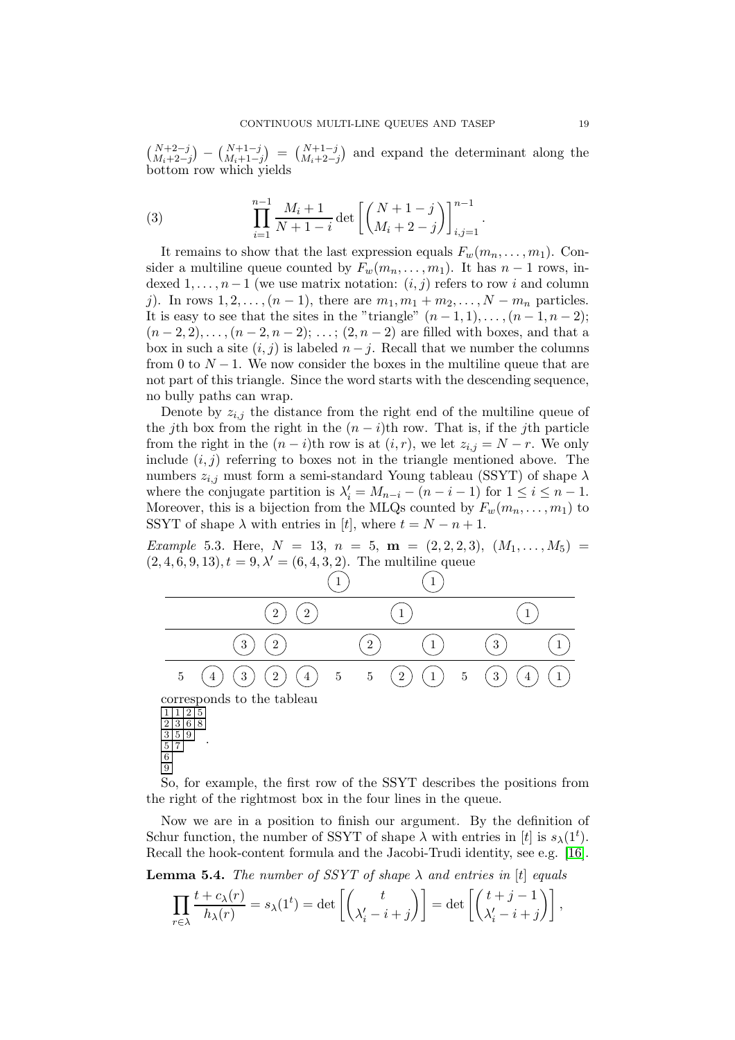$\binom{N+2-j}{M_i+2-j} - \binom{N+1-j}{M_i+1-j} = \binom{N+1-j}{M_i+2-j}$  and expand the determinant along the bottom row which yields

<span id="page-18-0"></span>(3) 
$$
\prod_{i=1}^{n-1} \frac{M_i + 1}{N + 1 - i} \det \left[ \binom{N+1-j}{M_i + 2 - j} \right]_{i,j=1}^{n-1}.
$$

It remains to show that the last expression equals  $F_w(m_n, \ldots, m_1)$ . Consider a multiline queue counted by  $F_w(m_n, \ldots, m_1)$ . It has  $n-1$  rows, indexed  $1, \ldots, n-1$  (we use matrix notation:  $(i, j)$  refers to row i and column j). In rows  $1, 2, ..., (n-1)$ , there are  $m_1, m_1 + m_2, ..., N - m_n$  particles. It is easy to see that the sites in the "triangle"  $(n-1,1), \ldots, (n-1,n-2);$  $(n-2, 2), \ldots, (n-2, n-2); \ldots; (2, n-2)$  are filled with boxes, and that a box in such a site  $(i, j)$  is labeled  $n - j$ . Recall that we number the columns from 0 to  $N-1$ . We now consider the boxes in the multiline queue that are not part of this triangle. Since the word starts with the descending sequence, no bully paths can wrap.

Denote by  $z_{i,j}$  the distance from the right end of the multiline queue of the jth box from the right in the  $(n - i)$ th row. That is, if the jth particle from the right in the  $(n-i)$ th row is at  $(i, r)$ , we let  $z_{i,j} = N - r$ . We only include  $(i, j)$  referring to boxes not in the triangle mentioned above. The numbers  $z_{i,j}$  must form a semi-standard Young tableau (SSYT) of shape  $\lambda$ where the conjugate partition is  $\lambda'_i = M_{n-i} - (n-i-1)$  for  $1 \le i \le n-1$ . Moreover, this is a bijection from the MLQs counted by  $F_w(m_n, \ldots, m_1)$  to SSYT of shape  $\lambda$  with entries in [t], where  $t = N - n + 1$ .

*Example* 5.3. Here,  $N = 13$ ,  $n = 5$ ,  $m = (2, 2, 2, 3)$ ,  $(M_1, \ldots, M_5)$  $(2, 4, 6, 9, 13), t = 9, \lambda' = (6, 4, 3, 2).$  The multiline queue





.

So, for example, the first row of the SSYT describes the positions from the right of the rightmost box in the four lines in the queue.

Now we are in a position to finish our argument. By the definition of Schur function, the number of SSYT of shape  $\lambda$  with entries in [t] is  $s_{\lambda}(1^t)$ . Recall the hook-content formula and the Jacobi-Trudi identity, see e.g. [\[16\]](#page-20-9).

**Lemma 5.4.** The number of SSYT of shape  $\lambda$  and entries in [t] equals

$$
\prod_{r \in \lambda} \frac{t + c_{\lambda}(r)}{h_{\lambda}(r)} = s_{\lambda}(1^t) = \det \left[ \binom{t}{\lambda'_i - i + j} \right] = \det \left[ \binom{t + j - 1}{\lambda'_i - i + j} \right],
$$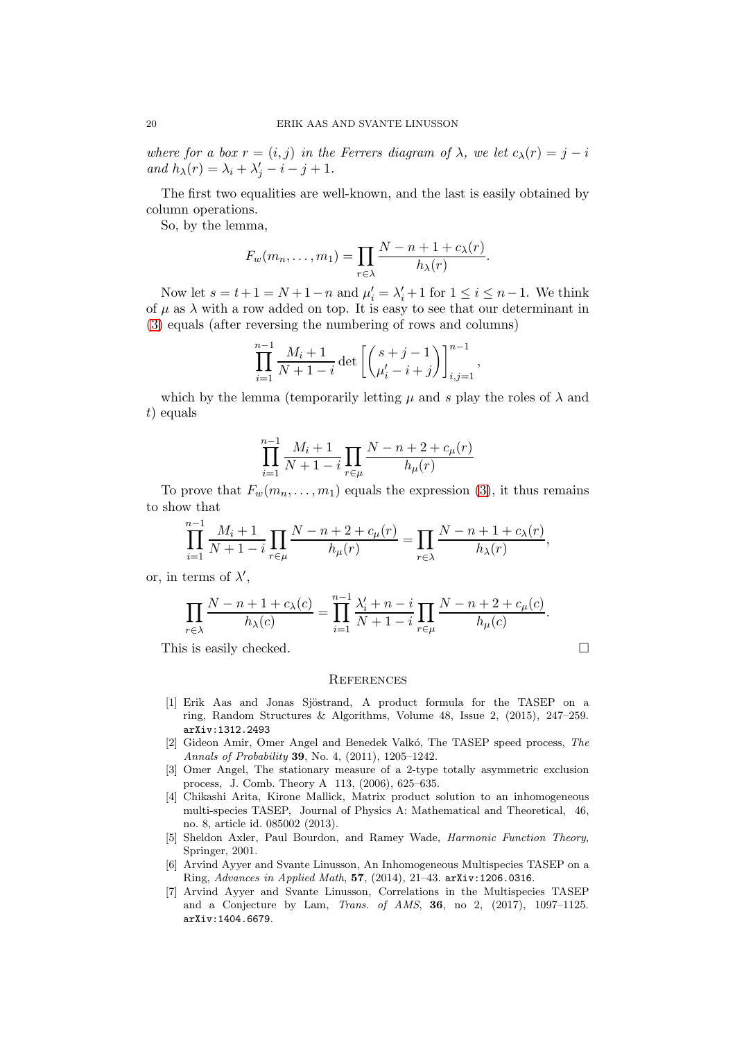where for a box  $r = (i, j)$  in the Ferrers diagram of  $\lambda$ , we let  $c_{\lambda}(r) = j - i$ and  $h_{\lambda}(r) = \lambda_i + \lambda'_j - i - j + 1.$ 

The first two equalities are well-known, and the last is easily obtained by column operations.

So, by the lemma,

$$
F_w(m_n,\ldots,m_1)=\prod_{r\in\lambda}\frac{N-n+1+c_\lambda(r)}{h_\lambda(r)}.
$$

Now let  $s = t + 1 = N + 1 - n$  and  $\mu'_i = \lambda'_i + 1$  for  $1 \le i \le n - 1$ . We think of  $\mu$  as  $\lambda$  with a row added on top. It is easy to see that our determinant in [\(3\)](#page-18-0) equals (after reversing the numbering of rows and columns)

$$
\prod_{i=1}^{n-1} \frac{M_i + 1}{N + 1 - i} \det \left[ \binom{s + j - 1}{\mu'_i - i + j} \right]_{i,j=1}^{n-1},
$$

which by the lemma (temporarily letting  $\mu$  and s play the roles of  $\lambda$  and t) equals

$$
\prod_{i=1}^{n-1} \frac{M_i + 1}{N + 1 - i} \prod_{r \in \mu} \frac{N - n + 2 + c_{\mu}(r)}{h_{\mu}(r)}
$$

To prove that  $F_w(m_n, \ldots, m_1)$  equals the expression [\(3\)](#page-18-0), it thus remains to show that

$$
\prod_{i=1}^{n-1} \frac{M_i + 1}{N + 1 - i} \prod_{r \in \mu} \frac{N - n + 2 + c_{\mu}(r)}{h_{\mu}(r)} = \prod_{r \in \lambda} \frac{N - n + 1 + c_{\lambda}(r)}{h_{\lambda}(r)},
$$

or, in terms of  $\lambda'$ ,

$$
\prod_{r \in \lambda} \frac{N - n + 1 + c_{\lambda}(c)}{h_{\lambda}(c)} = \prod_{i=1}^{n-1} \frac{\lambda'_i + n - i}{N + 1 - i} \prod_{r \in \mu} \frac{N - n + 2 + c_{\mu}(c)}{h_{\mu}(c)}.
$$

This is easily checked.

$$
\overline{a}
$$

#### **REFERENCES**

- <span id="page-19-0"></span>[1] Erik Aas and Jonas Sjöstrand, A product formula for the TASEP on a ring, Random Structures & Algorithms, Volume 48, Issue 2, (2015), 247–259. arXiv:1312.2493
- <span id="page-19-3"></span>[2] Gideon Amir, Omer Angel and Benedek Valkó, The TASEP speed process, The Annals of Probability 39, No. 4, (2011), 1205–1242.
- <span id="page-19-5"></span>[3] Omer Angel, The stationary measure of a 2-type totally asymmetric exclusion process, J. Comb. Theory A 113, (2006), 625–635.
- <span id="page-19-1"></span>[4] Chikashi Arita, Kirone Mallick, Matrix product solution to an inhomogeneous multi-species TASEP, Journal of Physics A: Mathematical and Theoretical, 46, no. 8, article id. 085002 (2013).
- <span id="page-19-6"></span>[5] Sheldon Axler, Paul Bourdon, and Ramey Wade, Harmonic Function Theory, Springer, 2001.
- <span id="page-19-2"></span>[6] Arvind Ayyer and Svante Linusson, An Inhomogeneous Multispecies TASEP on a Ring, Advances in Applied Math, 57, (2014), 21–43. arXiv:1206.0316.
- <span id="page-19-4"></span>[7] Arvind Ayyer and Svante Linusson, Correlations in the Multispecies TASEP and a Conjecture by Lam, Trans. of AMS, 36, no 2, (2017), 1097–1125. arXiv:1404.6679.